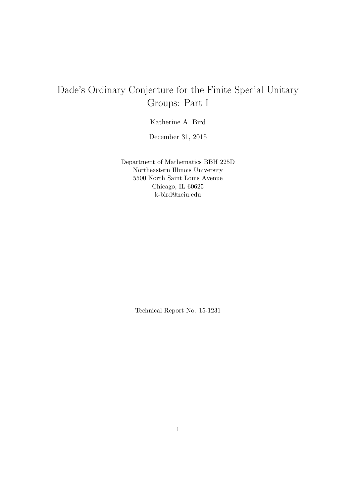# Dade's Ordinary Conjecture for the Finite Special Unitary Groups: Part I

Katherine A. Bird

December 31, 2015

Department of Mathematics BBH 225D Northeastern Illinois University 5500 North Saint Louis Avenue Chicago, IL 60625 k-bird@neiu.edu

Technical Report No. 15-1231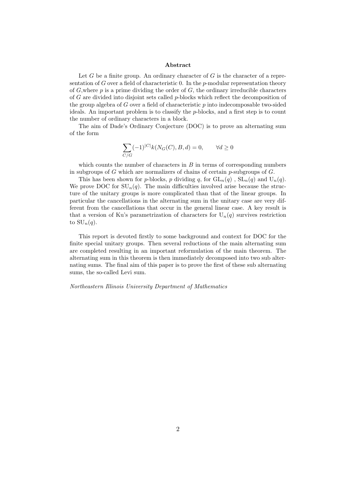#### Abstract

Let  $G$  be a finite group. An ordinary character of  $G$  is the character of a representation of G over a field of characteristic 0. In the  $p$ -modular representation theory of  $G$ , where  $p$  is a prime dividing the order of  $G$ , the ordinary irreducible characters of G are divided into disjoint sets called  $p$ -blocks which reflect the decomposition of the group algebra of  $G$  over a field of characteristic  $p$  into indecomposable two-sided ideals. An important problem is to classify the  $p$ -blocks, and a first step is to count the number of ordinary characters in a block.

The aim of Dade's Ordinary Conjecture (DOC) is to prove an alternating sum of the form

$$
\sum_{C/G} (-1)^{|C|} k(N_G(C), B, d) = 0, \qquad \forall d \ge 0
$$

which counts the number of characters in  $B$  in terms of corresponding numbers in subgroups of  $G$  which are normalizers of chains of certain  $p$ -subgroups of  $G$ .

This has been shown for p-blocks, p dividing q, for  $GL_n(q)$ ,  $SL_n(q)$  and  $U_n(q)$ . We prove DOC for  $SU_n(q)$ . The main difficulties involved arise because the structure of the unitary groups is more complicated than that of the linear groups. In particular the cancellations in the alternating sum in the unitary case are very different from the cancellations that occur in the general linear case. A key result is that a version of Ku's parametrization of characters for  $U_n(q)$  survives restriction to  $\mathrm{SU}_n(q)$ .

This report is devoted firstly to some background and context for DOC for the finite special unitary groups. Then several reductions of the main alternating sum are completed resulting in an important reformulation of the main theorem. The alternating sum in this theorem is then immediately decomposed into two sub alternating sums. The final aim of this paper is to prove the first of these sub alternating sums, the so-called Levi sum.

#### Northeastern Illinois University Department of Mathematics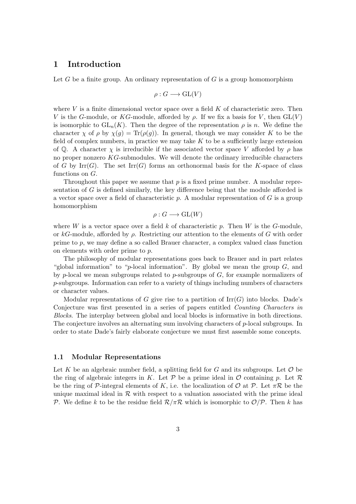## 1 Introduction

Let G be a finite group. An ordinary representation of  $G$  is a group homomorphism

$$
\rho: G \longrightarrow \operatorname{GL}(V)
$$

where  $V$  is a finite dimensional vector space over a field  $K$  of characteristic zero. Then V is the G-module, or KG-module, afforded by  $\rho$ . If we fix a basis for V, then  $GL(V)$ is isomorphic to  $GL_n(K)$ . Then the degree of the representation  $\rho$  is n. We define the character  $\chi$  of  $\rho$  by  $\chi(g) = \text{Tr}(\rho(g))$ . In general, though we may consider K to be the field of complex numbers, in practice we may take  $K$  to be a sufficiently large extension of Q. A character  $\chi$  is irreducible if the associated vector space V afforded by  $\rho$  has no proper nonzero KG-submodules. We will denote the ordinary irreducible characters of G by Irr $(G)$ . The set Irr $(G)$  forms an orthonormal basis for the K-space of class functions on G.

Throughout this paper we assume that  $p$  is a fixed prime number. A modular representation of G is defined similarly, the key difference being that the module afforded is a vector space over a field of characteristic  $p$ . A modular representation of  $G$  is a group homomorphism

$$
\rho: G \longrightarrow \operatorname{GL}(W)
$$

where W is a vector space over a field k of characteristic p. Then W is the  $G$ -module, or kG-module, afforded by  $\rho$ . Restricting our attention to the elements of G with order prime to p, we may define a so called Brauer character, a complex valued class function on elements with order prime to p.

The philosophy of modular representations goes back to Brauer and in part relates "global information" to "p-local information". By global we mean the group  $G$ , and by p-local we mean subgroups related to p-subgroups of  $G$ , for example normalizers of p-subgroups. Information can refer to a variety of things including numbers of characters or character values.

Modular representations of G give rise to a partition of  $\mathrm{Irr}(G)$  into blocks. Dade's Conjecture was first presented in a series of papers entitled Counting Characters in Blocks. The interplay between global and local blocks is informative in both directions. The conjecture involves an alternating sum involving characters of p-local subgroups. In order to state Dade's fairly elaborate conjecture we must first assemble some concepts.

## 1.1 Modular Representations

Let K be an algebraic number field, a splitting field for G and its subgroups. Let  $\mathcal O$  be the ring of algebraic integers in K. Let  $P$  be a prime ideal in  $O$  containing p. Let  $R$ be the ring of P-integral elements of K, i.e. the localization of  $\mathcal{O}$  at P. Let  $\pi \mathcal{R}$  be the unique maximal ideal in  $\mathcal R$  with respect to a valuation associated with the prime ideal P. We define k to be the residue field  $\mathcal{R}/\pi\mathcal{R}$  which is isomorphic to  $\mathcal{O}/\mathcal{P}$ . Then k has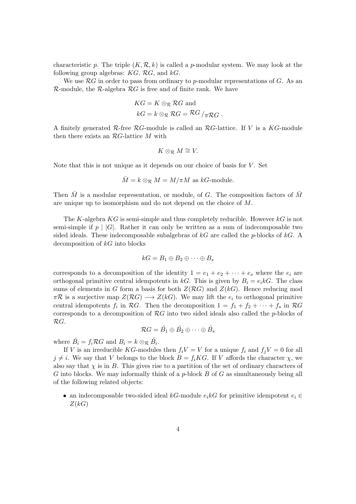characteristic p. The triple  $(K, \mathcal{R}, k)$  is called a p-modular system. We may look at the following group algebras:  $KG$ ,  $RG$ , and  $kG$ .

We use  $\mathcal{R}G$  in order to pass from ordinary to p-modular representations of G. As an  $R$ -module, the  $R$ -algebra  $RG$  is free and of finite rank. We have

$$
KG = K \otimes_{\mathcal{R}} \mathcal{R}G \text{ and}
$$
  

$$
kG = k \otimes_{\mathcal{R}} \mathcal{R}G = \mathcal{R}G /_{\pi \mathcal{R}G}.
$$

A finitely generated  $\mathcal{R}$ -free  $\mathcal{R}G$ -module is called an  $\mathcal{R}G$ -lattice. If V is a  $KG$ -module then there exists an  $RG$ -lattice M with

$$
K\otimes_{\mathcal{R}}M\cong V.
$$

Note that this is not unique as it depends on our choice of basis for V . Set

$$
\overline{M} = k \otimes_{\mathcal{R}} M = M/\pi M
$$
 as  $kG$ -module.

Then  $\overline{M}$  is a modular representation, or module, of G. The composition factors of  $\overline{M}$ are unique up to isomorphism and do not depend on the choice of M.

The K-algebra  $KG$  is semi-simple and thus completely reducible. However  $kG$  is not semi-simple if  $p \mid |G|$ . Rather it can only be written as a sum of indecomposable two sided ideals. These indecomposable subalgebras of  $kG$  are called the p-blocks of  $kG$ . A decomposition of  $kG$  into blocks

$$
kG=B_1\oplus B_2\oplus\cdots\oplus B_s
$$

corresponds to a decomposition of the identity  $1 = e_1 + e_2 + \cdots + e_s$  where the  $e_i$  are orthogonal primitive central idempotents in kG. This is given by  $B_i = e_i kG$ . The class sums of elements in G form a basis for both  $Z(RG)$  and  $Z(kG)$ . Hence reducing mod  $\pi \mathcal{R}$  is a surjective map  $Z(\mathcal{R}G) \longrightarrow Z(kG)$ . We may lift the  $e_i$  to orthogonal primitive central idempotents  $f_i$  in  $\mathcal{R}G$ . Then the decomposition  $1 = f_1 + f_2 + \cdots + f_s$  in  $\mathcal{R}G$ corresponds to a decomposition of  $RG$  into two sided ideals also called the  $p$ -blocks of RG.

$$
\mathcal{R}G = \hat{B_1} \oplus \hat{B_2} \oplus \cdots \oplus \hat{B_s}
$$

where  $\hat{B}_i = f_i \mathcal{R} G$  and  $B_i = k \otimes_{\mathcal{R}} \hat{B}_i$ .

If V is an irreducible KG-modules then  $f_iV = V$  for a unique  $f_i$  and  $f_jV = 0$  for all  $j \neq i$ . We say that V belongs to the block  $B = f_iKG$ . If V affords the character  $\chi$ , we also say that  $\chi$  is in B. This gives rise to a partition of the set of ordinary characters of G into blocks. We may informally think of a  $p$ -block  $B$  of  $G$  as simultaneously being all of the following related objects:

• an indecomposable two-sided ideal kG-module  $e_i k$ G for primitive idempotent  $e_i \in$  $Z(kG)$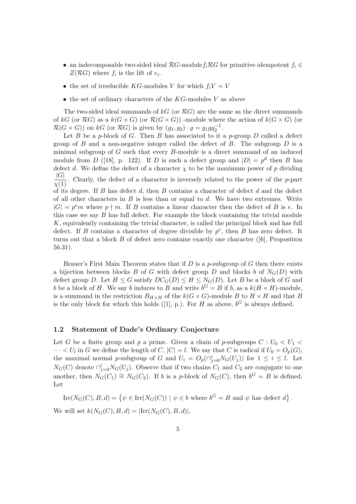- an indecomposable two-sided ideal  $RG$ -module $f_iRG$  for primitive idempotent  $f_i \in$  $Z(RG)$  where  $f_i$  is the lift of  $e_i$ .
- $\bullet\,$  the set of irreducible  $KG\mbox{-modules }V$  for which<br>  $f_iV=V$
- $\bullet$  the set of ordinary characters of the KG-modules V as above

The two-sided ideal summands of  $kG$  (or  $\mathcal{R}G$ ) are the same as the direct summands of kG (or  $\mathcal{R}G$ ) as a  $k(G \times G)$  (or  $\mathcal{R}(G \times G)$ ) -module where the action of  $k(G \times G)$  (or  $\mathcal{R}(G \times G)$  on kG (or  $\mathcal{R}G$ ) is given by  $(g_1, g_2) \cdot g = g_1gg_2^{-1}$ .

Let B be a p-block of G. Then B has associated to it a p-group  $D$  called a defect group of  $B$  and a non-negative integer called the defect of  $B$ . The subgroup  $D$  is a minimal subgroup of  $G$  such that every  $B$ -module is a direct summand of an induced module from D ([18], p. 122). If D is such a defect group and  $|D| = p^d$  then B has defect d. We define the defect of a character  $\chi$  to be the maximum power of p dividing  $|G|$  $\frac{|\mathbf{Q}|}{\chi(1)}$ . Clearly, the defect of a character is inversely related to the power of the p-part of its degree. If  $B$  has defect  $d$ , then  $B$  contains a character of defect  $d$  and the defect of all other characters in  $B$  is less than or equal to  $d$ . We have two extremes. Write  $|G| = p<sup>e</sup>m$  where  $p \nmid m$ . If B contains a linear character then the defect of B is e. In this case we say  $B$  has full defect. For example the block containing the trivial module K, equivalently containing the trivial character, is called the principal block and has full defect. If B contains a character of degree divisible by  $p^e$ , then B has zero defect. It turns out that a block  $B$  of defect zero contains exactly one character ([6], Proposition 56.31).

Brauer's First Main Theorem states that if  $D$  is a p-subgroup of  $G$  then there exists a bijection between blocks  $B$  of  $G$  with defect group  $D$  and blocks  $b$  of  $N_G(D)$  with defect group D. Let  $H \leq G$  satisfy  $DC_G(D) \leq H \leq N_G(D)$ . Let B be a block of G and b be a block of H. We say b induces to B and write  $b^G = B$  if b, as a  $k(H \times H)$ -module, is a summand in the restriction  $B_{H\times H}$  of the  $k(G\times G)$ -module B to  $H\times H$  and that B is the only block for which this holds ([1], p.). For H as above,  $b^G$  is always defined.

## 1.2 Statement of Dade's Ordinary Conjecture

Let G be a finite group and p a prime. Given a chain of p-subgroups  $C: U_0 < U_1$  $\cdots < U_l$  in G we define the length of C,  $|C| = l$ . We say that C is radical if  $U_0 = O_p(G)$ , the maximal normal p-subgroup of G and  $U_i = O_p(\bigcap_{j=0}^i N_G(U_j))$  for  $1 \leq i \leq l$ . Let  $N_G(C)$  denote  $\bigcap_{j=0}^l N_G(U_j)$ . Observe that if two chains  $C_1$  and  $C_2$  are conjugate to one another, then  $N_G(C_1) \cong N_G(C_2)$ . If b is a p-block of  $N_G(C)$ , then  $b^G = B$  is defined. Let

$$
Irr(N_G(C), B, d) = \{ \psi \in Irr(N_G(C)) \mid \psi \in b \text{ where } b^G = B \text{ and } \psi \text{ has defect } d \}.
$$

We will set  $k(N_G(C), B, d) = |\text{Irr}(N_G(C), B, d)|$ .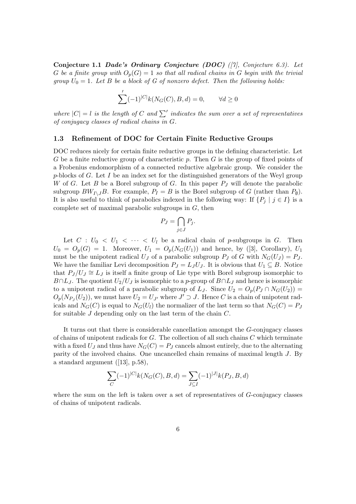Conjecture 1.1 Dade's Ordinary Conjecture (DOC)  $(7)$ , Conjecture 6.3). Let G be a finite group with  $O_p(G) = 1$  so that all radical chains in G begin with the trivial group  $U_0 = 1$ . Let B be a block of G of nonzero defect. Then the following holds:

$$
\sum' (-1)^{|C|} k(N_G(C), B, d) = 0, \qquad \forall d \ge 0
$$

where  $|C| = l$  is the length of C and  $\sum'$  indicates the sum over a set of representatives of conjugacy classes of radical chains in G.

## 1.3 Refinement of DOC for Certain Finite Reductive Groups

DOC reduces nicely for certain finite reductive groups in the defining characteristic. Let G be a finite reductive group of characteristic p. Then  $G$  is the group of fixed points of a Frobenius endomorphism of a connected reductive algebraic group. We consider the p-blocks of G. Let I be an index set for the distinguished generators of the Weyl group W of G. Let B be a Borel subgroup of G. In this paper  $P_J$  will denote the parabolic subgroup  $BW_{I\setminus J}B$ . For example,  $P_I = B$  is the Borel subgroup of G (rather than  $P_{\emptyset}$ ). It is also useful to think of parabolics indexed in the following way: If  $\{P_i \mid j \in I\}$  is a complete set of maximal parabolic subgroups in  $G$ , then

$$
P_J = \bigcap_{j \in J} P_j.
$$

Let  $C: U_0 < U_1 < \cdots < U_l$  be a radical chain of p-subgroups in G. Then  $U_0 = O_p(G) = 1$ . Moreover,  $U_1 = O_p(N_G(U_1))$  and hence, by ([3], Corollary),  $U_1$ must be the unipotent radical  $U_J$  of a parabolic subgroup  $P_J$  of G with  $N_G(U_J) = P_J$ . We have the familiar Levi decomposition  $P_J = L_J U_J$ . It is obvious that  $U_1 \subseteq B$ . Notice that  $P_J/U_J \cong L_J$  is itself a finite group of Lie type with Borel subgroup isomorphic to  $B \cap L_J$ . The quotient  $U_2/U_J$  is isomorphic to a p-group of  $B \cap L_J$  and hence is isomorphic to a unipotent radical of a parabolic subgroup of  $L_J$ . Since  $U_2 = O_p(P_J \cap N_G(U_2))$  $O_p(N_{P_J}(U_2))$ , we must have  $U_2 = U_{J'}$  where  $J' \supset J$ . Hence C is a chain of unipotent radicals and  $N_G(C)$  is equal to  $N_G(U_l)$  the normalizer of the last term so that  $N_G(C) = P_J$ for suitable J depending only on the last term of the chain C.

It turns out that there is considerable cancellation amongst the G-conjugacy classes of chains of unipotent radicals for G. The collection of all such chains C which terminate with a fixed  $U_J$  and thus have  $N_G(C) = P_J$  cancels almost entirely, due to the alternating parity of the involved chains. One uncancelled chain remains of maximal length J. By a standard argument ([13], p.58),

$$
\sum_C (-1)^{|C|} k(N_G(C), B, d) = \sum_{J \subseteq I} (-1)^{|J|} k(P_J, B, d)
$$

where the sum on the left is taken over a set of representatives of  $G$ -conjugacy classes of chains of unipotent radicals.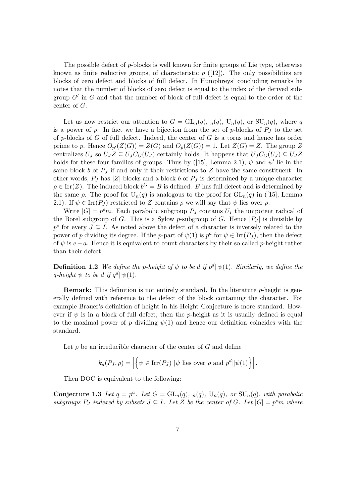The possible defect of p-blocks is well known for finite groups of Lie type, otherwise known as finite reductive groups, of characteristic  $p$  ([12]). The only possibilities are blocks of zero defect and blocks of full defect. In Humphreys' concluding remarks he notes that the number of blocks of zero defect is equal to the index of the derived subgroup  $G'$  in  $G$  and that the number of block of full defect is equal to the order of the center of G.

Let us now restrict our attention to  $G = GL_n(q)$ ,  $n(q)$ ,  $U_n(q)$ , or  $SU_n(q)$ , where q is a power of p. In fact we have a bijection from the set of p-blocks of  $P<sub>J</sub>$  to the set of  $p$ -blocks of  $G$  of full defect. Indeed, the center of  $G$  is a torus and hence has order prime to p. Hence  $O_{p'}(Z(G)) = Z(G)$  and  $O_p(Z(G)) = 1$ . Let  $Z(G) = Z$ . The group Z centralizes  $U_J$  so  $U_JZ \subseteq U_JC_G(U_J)$  certainly holds. It happens that  $U_JC_G(U_J) \subseteq U_JZ$ holds for these four families of groups. Thus by ([15], Lemma 2.1),  $\psi$  and  $\psi'$  lie in the same block b of  $P_J$  if and only if their restrictions to  $Z$  have the same constituent. In other words,  $P_J$  has |Z| blocks and a block b of  $P_J$  is determined by a unique character  $\rho \in \text{Irr}(Z)$ . The induced block  $b^G = B$  is defined. B has full defect and is determined by the same  $\rho$ . The proof for  $U_n(q)$  is analogous to the proof for  $GL_n(q)$  in ([15], Lemma 2.1). If  $\psi \in \text{Irr}(P_J)$  restricted to Z contains  $\rho$  we will say that  $\psi$  lies over  $\rho$ .

Write  $|G| = p<sup>e</sup>m$ . Each parabolic subgroup  $P_J$  contains  $U_I$  the unipotent radical of the Borel subgroup of G. This is a Sylow p-subgroup of G. Hence  $|P_J|$  is divisible by  $p^e$  for every  $J \subseteq I$ . As noted above the defect of a character is inversely related to the power of p dividing its degree. If the p-part of  $\psi(1)$  is  $p^a$  for  $\psi \in \text{Irr}(P_J)$ , then the defect of  $\psi$  is  $e-a$ . Hence it is equivalent to count characters by their so called p-height rather than their defect.

**Definition 1.2** We define the p-height of  $\psi$  to be d if  $p^d || \psi(1)$ . Similarly, we define the q-height  $\psi$  to be d if  $q^d \|\psi(1)$ .

**Remark:** This definition is not entirely standard. In the literature  $p$ -height is generally defined with reference to the defect of the block containing the character. For example Brauer's definition of height in his Height Conjecture is more standard. However if  $\psi$  is in a block of full defect, then the p-height as it is usually defined is equal to the maximal power of p dividing  $\psi(1)$  and hence our definition coincides with the standard.

Let  $\rho$  be an irreducible character of the center of G and define

$$
k_d(P_J, \rho) = \left| \left\{ \psi \in \operatorname{Irr}(P_J) \, | \psi \text{ lies over } \rho \text{ and } p^d || \psi(1) \right\} \right|.
$$

Then DOC is equivalent to the following:

Conjecture 1.3 Let  $q = p^a$ . Let  $G = GL_n(q)$ ,  $_n(q)$ ,  $U_n(q)$ , or  $SU_n(q)$ , with parabolic subgroups  $P_J$  indexed by subsets  $J \subseteq I$ . Let Z be the center of G. Let  $|G| = p^e m$  where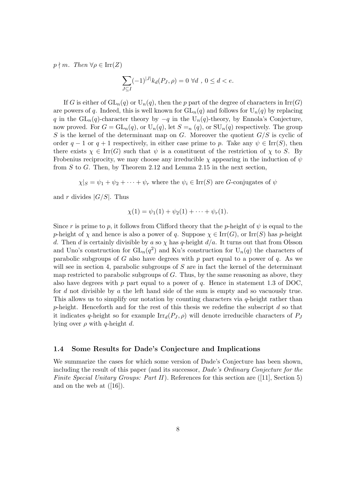$p \nmid m$ . Then  $\forall \rho \in \text{Irr}(Z)$ 

$$
\sum_{J\subseteq I} (-1)^{|J|} k_d(P_J,\rho) = 0 \ \forall d \ , \ 0 \le d < e.
$$

If G is either of  $GL_n(q)$  or  $U_n(q)$ , then the p part of the degree of characters in  $Irr(G)$ are powers of q. Indeed, this is well known for  $GL_n(q)$  and follows for  $U_n(q)$  by replacing q in the  $GL_n(q)$ -character theory by  $-q$  in the  $U_n(q)$ -theory, by Ennola's Conjecture, now proved. For  $G = GL_n(q)$ , or  $U_n(q)$ , let  $S = n(q)$ , or  $SU_n(q)$  respectively. The group S is the kernel of the determinant map on G. Moreover the quotient  $G/S$  is cyclic of order  $q-1$  or  $q+1$  respectively, in either case prime to p. Take any  $\psi \in \text{Irr}(S)$ , then there exists  $\chi \in \text{Irr}(G)$  such that  $\psi$  is a constituent of the restriction of  $\chi$  to S. By Frobenius reciprocity, we may choose any irreducible  $\chi$  appearing in the induction of  $\psi$ from S to G. Then, by Theorem 2.12 and Lemma 2.15 in the next section,

 $\chi|S = \psi_1 + \psi_2 + \cdots + \psi_r$  where the  $\psi_i \in \text{Irr}(S)$  are G-conjugates of  $\psi$ 

and r divides  $|G/S|$ . Thus

$$
\chi(1) = \psi_1(1) + \psi_2(1) + \cdots + \psi_r(1).
$$

Since r is prime to p, it follows from Clifford theory that the p-height of  $\psi$  is equal to the p-height of  $\chi$  and hence is also a power of q. Suppose  $\chi \in \text{Irr}(G)$ , or Irr(S) has p-height d. Then d is certainly divisible by a so  $\chi$  has q-height  $d/a$ . It turns out that from Olsson and Uno's construction for  $GL_n(q^2)$  and Ku's construction for  $U_n(q)$  the characters of parabolic subgroups of G also have degrees with p part equal to a power of q. As we will see in section 4, parabolic subgroups of  $S$  are in fact the kernel of the determinant map restricted to parabolic subgroups of G. Thus, by the same reasoning as above, they also have degrees with p part equal to a power of q. Hence in statement 1.3 of DOC, for d not divisible by a the left hand side of the sum is empty and so vacuously true. This allows us to simplify our notation by counting characters via q-height rather than p-height. Henceforth and for the rest of this thesis we redefine the subscript  $d$  so that it indicates q-height so for example  $\text{Irr}_d(P_J, \rho)$  will denote irreducible characters of  $P_J$ lying over  $\rho$  with q-height d.

## 1.4 Some Results for Dade's Conjecture and Implications

We summarize the cases for which some version of Dade's Conjecture has been shown, including the result of this paper (and its successor, Dade's Ordinary Conjecture for the Finite Special Unitary Groups: Part II). References for this section are  $(111)$ , Section 5) and on the web at  $([16])$ .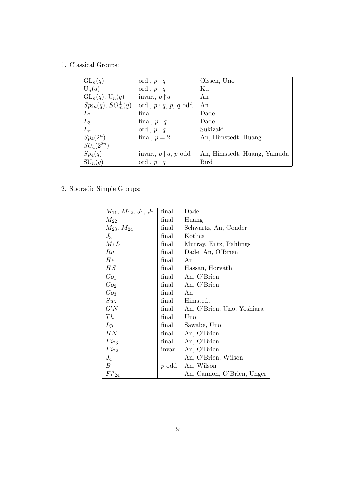1. Classical Groups:

| $GL_n(q)$                      | ord., $p \mid q$            | Olssen, Uno                 |
|--------------------------------|-----------------------------|-----------------------------|
| $U_n(q)$                       | ord., $p \mid q$            | Ku                          |
| $GL_n(q)$ , $U_n(q)$           | invar., $p \nmid q$         | An                          |
| $Sp_{2n}(q)$ , $SO_m^{\pm}(q)$ | ord., $p \nmid q, p, q$ odd | An                          |
| $L_2$                          | final                       | Dade                        |
| $L_3$                          | final, $p   q$              | Dade                        |
| $L_n$                          | ord., $p \mid q$            | Sukizaki                    |
| $Sp_4(2^n)$                    | final, $p = 2$              | An, Himstedt, Huang         |
| $SU_4(2^{2n})$                 |                             |                             |
| $Sp_4(q)$                      | invar., $p   q, p$ odd      | An, Himstedt, Huang, Yamada |
| $SU_n(q)$                      | ord., $p \mid q$            | Bird                        |

2. Sporadic Simple Groups:

| $M_{11}, M_{12}, J_1, J_2$ | final   | Dade                       |
|----------------------------|---------|----------------------------|
| $M_{22}$                   | final   | Huang                      |
| $M_{23}$ , $M_{24}$        | final   | Schwartz, An, Conder       |
| $J_3$                      | final   | Kotlica                    |
| McL                        | final   | Murray, Entz, Pahlings     |
| Ru                         | final   | Dade, An, O'Brien          |
| He                         | final   | An                         |
| HS                         | final   | Hassan, Horváth            |
| Co <sub>1</sub>            | final   | An, O'Brien                |
| Co <sub>2</sub>            | final   | An, O'Brien                |
| Co <sub>3</sub>            | final   | An                         |
| Suz                        | final   | Himstedt                   |
| O'N                        | final   | An, O'Brien, Uno, Yoshiara |
| Th                         | final   | Uno                        |
| Ly                         | final   | Sawabe, Uno                |
| HN                         | final   | An, O'Brien                |
| $Fi_{23}$                  | final   | An, O'Brien                |
| $Fi_{22}$                  | invar.  | An, O'Brien                |
| $J_4$                      |         | An, O'Brien, Wilson        |
| В                          | $p$ odd | An, Wilson                 |
| $Fi'_{24}$                 |         | An, Cannon, O'Brien, Unger |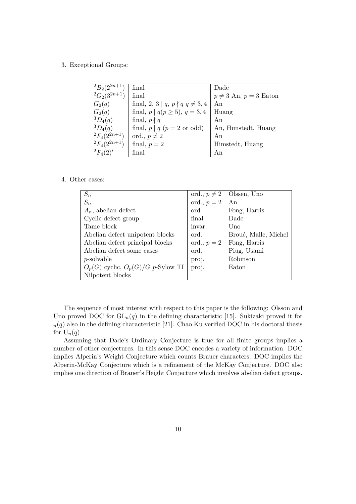3. Exceptional Groups:

| ${}^{2}B_{2}(2^{2n+1})$ | final                                  | Dade                         |
|-------------------------|----------------------------------------|------------------------------|
| ${}^2G_2(3^{2n+1})$     | final                                  | $p \neq 3$ An, $p = 3$ Eaton |
| $G_2(q)$                | final, 2, 3   $q, p \nmid q \neq 3, 4$ | An                           |
| $G_2(q)$                | final, $p   q(p \ge 5)$ , $q = 3, 4$   | Huang                        |
| ${}^3D_4(q)$            | final, $p \nmid q$                     | An                           |
| ${}^{3}D_{4}(q)$        | final, $p   q (p = 2 \text{ or odd})$  | An, Himstedt, Huang          |
| ${}^{2}F_{4}(2^{2n+1})$ | ord., $p \neq 2$                       | An                           |
| ${}^{2}F_{4}(2^{2n+1})$ | final, $p = 2$                         | Himstedt, Huang              |
| ${}^{2}F_{4}(2)'$       | final                                  | An                           |

## 4. Other cases:

| $S_n$                                  |               | ord., $p \neq 2$   Olssen, Uno |
|----------------------------------------|---------------|--------------------------------|
| $S_n$                                  | ord., $p = 2$ | An                             |
| $A_n$ , abelian defect                 | ord.          | Fong, Harris                   |
| Cyclic defect group                    | final         | Dade                           |
| Tame block                             | invar.        | Uno                            |
| Abelian defect unipotent blocks        | ord.          | Broué, Malle, Michel           |
| Abelian defect principal blocks        | ord., $p=2$   | Fong, Harris                   |
| Abelian defect some cases              | ord.          | Piug, Usami                    |
| $p$ -solvable                          | proj.         | Robinson                       |
| $O_p(G)$ cyclic, $O_p(G)/G$ p-Sylow TI | proj.         | Eaton                          |
| Nilpotent blocks                       |               |                                |

The sequence of most interest with respect to this paper is the following: Olsson and Uno proved DOC for  $GL_n(q)$  in the defining characteristic [15]. Sukizaki proved it for  $n(q)$  also in the defining characteristic [21]. Chao Ku verified DOC in his doctoral thesis for  $U_n(q)$ .

Assuming that Dade's Ordinary Conjecture is true for all finite groups implies a number of other conjectures. In this sense DOC encodes a variety of information. DOC implies Alperin's Weight Conjecture which counts Brauer characters. DOC implies the Alperin-McKay Conjecture which is a refinement of the McKay Conjecture. DOC also implies one direction of Brauer's Height Conjecture which involves abelian defect groups.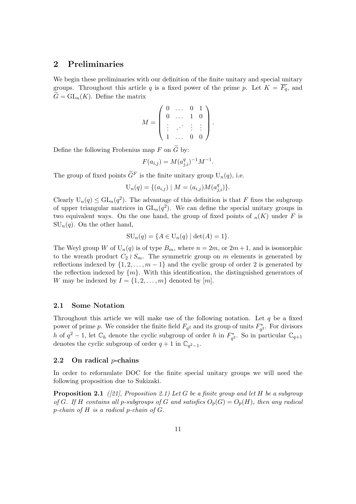## 2 Preliminaries

We begin these preliminaries with our definition of the finite unitary and special unitary groups. Throughout this article q is a fixed power of the prime p. Let  $K = \overline{F_q}$ , and  $\widetilde{G} = GL_n(K)$ . Define the matrix

$$
M = \left( \begin{array}{cccc} 0 & \dots & 0 & 1 \\ 0 & \dots & 1 & 0 \\ \vdots & \vdots & \vdots & \vdots \\ 1 & \dots & 0 & 0 \end{array} \right).
$$

Define the following Frobenius map F on  $\tilde{G}$  by:

$$
F(a_{i,j}) = M(a_{j,i}^q)^{-1}M^{-1}.
$$

The group of fixed points  $\widetilde{G}^F$  is the finite unitary group  $U_n(q)$ , i.e.

$$
U_n(q) = \{(a_{i,j}) \mid M = (a_{i,j})M(a_{j,i}^q)\}.
$$

Clearly  $U_n(q) \leq GL_n(q^2)$ . The advantage of this definition is that F fixes the subgroup of upper triangular matrices in  $GL_n(q^2)$ . We can define the special unitary groups in two equivalent ways. On the one hand, the group of fixed points of  $_n(K)$  under F is  $SU_n(q)$ . On the other hand,

$$
SU_n(q) = \{ A \in U_n(q) \mid \det(A) = 1 \}.
$$

The Weyl group W of  $U_n(q)$  is of type  $B_m$ , where  $n = 2m$ , or  $2m + 1$ , and is isomorphic to the wreath product  $C_2 \wr S_m$ . The symmetric group on m elements is generated by reflections indexed by  $\{1, 2, \ldots, m-1\}$  and the cyclic group of order 2 is generated by the reflection indexed by  $\{m\}$ . With this identification, the distinguished generators of W may be indexed by  $I = \{1, 2, \ldots, m\}$  denoted by  $[m]$ .

#### 2.1 Some Notation

Throughout this article we will make use of the following notation. Let  $q$  be a fixed power of prime p. We consider the finite field  $F_{q^2}$  and its group of units  $F_{q^2}^*$ . For divisors h of  $q^2-1$ , let  $\mathbb{C}_h$  denote the cyclic subgroup of order h in  $F_{q^2}^*$ . So in particular  $\mathbb{C}_{q+1}$ denotes the cyclic subgroup of order  $q + 1$  in  $\mathbb{C}_{q^2-1}$ .

## 2.2 On radical  $p$ -chains

In order to reformulate DOC for the finite special unitary groups we will need the following proposition due to Sukizaki.

**Proposition 2.1** ([21], Proposition 2.1) Let G be a finite group and let H be a subgroup of G. If H contains all p-subgroups of G and satisfies  $O_p(G) = O_p(H)$ , then any radical p-chain of H is a radical p-chain of G.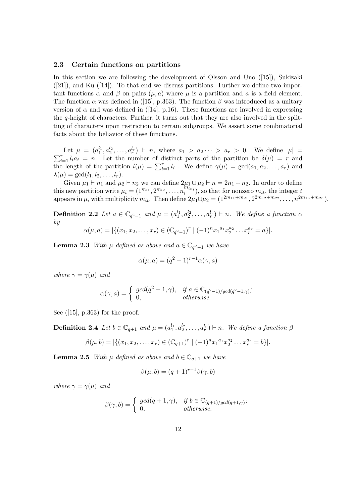#### 2.3 Certain functions on partitions

In this section we are following the development of Olsson and Uno ([15]), Sukizaki  $([21])$ , and Ku  $([14])$ . To that end we discuss partitions. Further we define two important functions  $\alpha$  and  $\beta$  on pairs  $(\mu, a)$  where  $\mu$  is a partition and  $\alpha$  is a field element. The function  $\alpha$  was defined in ([15], p.363). The function  $\beta$  was introduced as a unitary version of  $\alpha$  and was defined in ([14], p.16). These functions are involved in expressing the  $q$ -height of characters. Further, it turns out that they are also involved in the splitting of characters upon restriction to certain subgroups. We assert some combinatorial facts about the behavior of these functions.

Let  $\mu = (a_1^{l_1}, a_2^{l_2}, \ldots, a_r^{l_r})$  $\sum$ Let  $\mu = (a_1^{l_1}, a_2^{l_2}, \ldots, a_r^{l_r}) \vdash n$ , where  $a_1 > a_2 \cdots > a_r > 0$ . We define  $|\mu| = \binom{r}{i} a_i = n$ . Let the number of distinct parts of the partition be  $\delta(\mu) = r$  and the length of the partition  $l(\mu) = \sum_{i=1}^r l_i$ . We define  $\gamma(\mu) = \gcd(a_1, a_2, \ldots, a_r)$  and  $\lambda(\mu) = \gcd(l_1, l_2, \ldots, l_r).$ 

Given  $\mu_1 \vdash n_1$  and  $\mu_2 \vdash n_2$  we can define  $2\mu_1 \cup \mu_2 \vdash n = 2n_1 + n_2$ . In order to define this new partition write  $\mu_i = (1^{m_{i1}}, 2^{m_{i2}}, \ldots, n_i^{m_{in_i}})$ , so that for nonzero  $m_{it}$ , the integer t appears in  $\mu_i$  with multiplicity  $m_{it}$ . Then define  $2\mu_1 \cup \mu_2 = (1^{2m_{11}+m_{21}}, 2^{2m_{12}+m_{22}}, \ldots, n^{2m_{1n}+m_{2n}})$ .

**Definition 2.2** Let  $a \in \mathbb{C}_{q^2-1}$  and  $\mu = (a_1^{l_1}, a_2^{l_2}, \ldots, a_r^{l_r}) \vdash n$ . We define a function  $\alpha$ by

$$
\alpha(\mu, a) = |\{(x_1, x_2, \dots, x_r) \in (\mathbb{C}_{q^2-1})^r \mid (-1)^n x_1^{a_1} x_2^{a_2} \dots x_r^{a_r} = a\}|.
$$

**Lemma 2.3** With  $\mu$  defined as above and  $a \in \mathbb{C}_{q^2-1}$  we have

$$
\alpha(\mu, a) = (q^2 - 1)^{r-1} \alpha(\gamma, a)
$$

where  $\gamma = \gamma(\mu)$  and

$$
\alpha(\gamma, a) = \begin{cases} \gcd(q^2 - 1, \gamma), & \text{if } a \in \mathbb{C}_{(q^2 - 1)/\gcd(q^2 - 1, \gamma)}; \\ 0, & \text{otherwise.} \end{cases}
$$

See  $([15], p.363)$  for the proof.

**Definition 2.4** Let  $b \in \mathbb{C}_{q+1}$  and  $\mu = (a_1^{l_1}, a_2^{l_2}, \ldots, a_r^{l_r}) \vdash n$ . We define a function  $\beta$ 

$$
\beta(\mu, b) = |\{(x_1, x_2, \dots, x_r) \in (\mathbb{C}_{q+1})^r \mid (-1)^n x_1^{a_1} x_2^{a_2} \dots x_r^{a_r} = b\}|.
$$

**Lemma 2.5** With  $\mu$  defined as above and  $b \in \mathbb{C}_{q+1}$  we have

$$
\beta(\mu, b) = (q+1)^{r-1} \beta(\gamma, b)
$$

where  $\gamma = \gamma(\mu)$  and

$$
\beta(\gamma, b) = \begin{cases} \gcd(q+1, \gamma), & \text{if } b \in \mathbb{C}_{(q+1)/\gcd(q+1,\gamma)}, \\ 0, & \text{otherwise.} \end{cases}
$$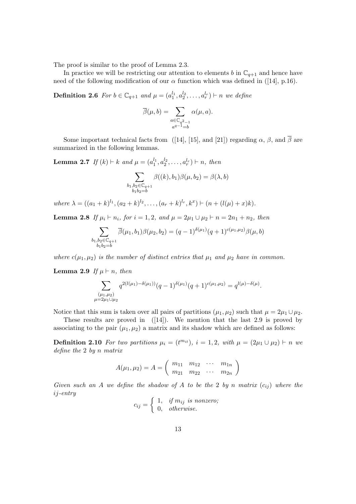The proof is similar to the proof of Lemma 2.3.

In practice we will be restricting our attention to elements b in  $\mathbb{C}_{q+1}$  and hence have need of the following modification of our  $\alpha$  function which was defined in ([14], p.16).

**Definition 2.6** For  $b \in \mathbb{C}_{q+1}$  and  $\mu = (a_1^{l_1}, a_2^{l_2}, \ldots, a_r^{l_r}) \vdash n$  we define

$$
\overline{\beta}(\mu, b) = \sum_{\substack{a \in \mathbb{C}_{q^2 - 1} \\ a^{q-1} = b}} \alpha(\mu, a).
$$

Some important technical facts from ([14], [15], and [21]) regarding  $\alpha$ ,  $\beta$ , and  $\overline{\beta}$  are summarized in the following lemmas.

**Lemma 2.7** If  $(k) \vdash k$  and  $\mu = (a_1^{l_1}, a_2^{l_2}, \ldots, a_r^{l_r}) \vdash n$ , then

$$
\sum_{\substack{b_1,b_2 \in \mathbb{C}_{q+1} \\ b_1b_2 = b}} \beta((k),b_1)\beta(\mu,b_2) = \beta(\lambda,b)
$$

where  $\lambda = ((a_1 + k)^{l_1}, (a_2 + k)^{l_2}, \dots, (a_r + k)^{l_r}, k^x) \vdash (n + (l(\mu) + x)k).$ 

Lemma 2.8 If  $\mu_i \vdash n_i$ , for  $i = 1, 2$ , and  $\mu = 2\mu_1 \cup \mu_2 \vdash n = 2n_1 + n_2$ , then

$$
\sum_{\substack{b_1, b_2 \in \mathbb{C}_{q+1} \\ b_1 b_2 = b}} \overline{\beta}(\mu_1, b_1) \beta(\mu_2, b_2) = (q-1)^{\delta(\mu_1)}(q+1)^{c(\mu_1, \mu_2)} \beta(\mu, b)
$$

where  $c(\mu_1, \mu_2)$  is the number of distinct entries that  $\mu_1$  and  $\mu_2$  have in common.

**Lemma 2.9** If  $\mu \vdash n$ , then

$$
\sum_{\substack{(\mu_1,\mu_2) \\ \mu=2\mu_1\cup\mu_2}} q^{2(l(\mu_1)-\delta(\mu_1))}(q-1)^{\delta(\mu_1)}(q+1)^{c(\mu_1,\mu_2)}=q^{l(\mu)-\delta(\mu)}.
$$

Notice that this sum is taken over all pairs of partitions  $(\mu_1, \mu_2)$  such that  $\mu = 2\mu_1 \cup \mu_2$ .

These results are proved in  $([14])$ . We mention that the last 2.9 is proved by associating to the pair  $(\mu_1, \mu_2)$  a matrix and its shadow which are defined as follows:

**Definition 2.10** For two partitions  $\mu_i = (t^{m_{it}})$ ,  $i = 1, 2$ , with  $\mu = (2\mu_1 \cup \mu_2) \vdash n$  we define the 2 by n matrix

$$
A(\mu_1, \mu_2) = A = \begin{pmatrix} m_{11} & m_{12} & \cdots & m_{1n} \\ m_{21} & m_{22} & \cdots & m_{2n} \end{pmatrix}
$$

Given such an A we define the shadow of A to be the 2 by n matrix  $(c_{ij})$  where the ij-entry

$$
c_{ij} = \begin{cases} 1, & if \; m_{ij} \; \; is \; nonzero; \\ 0, & otherwise. \end{cases}
$$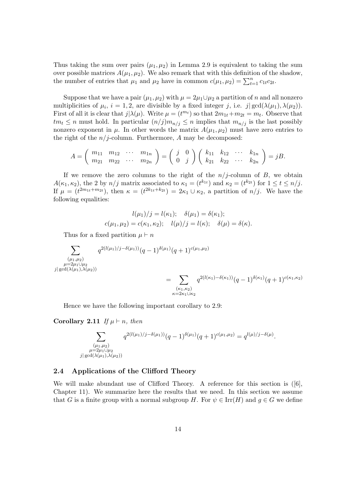Thus taking the sum over pairs  $(\mu_1, \mu_2)$  in Lemma 2.9 is equivalent to taking the sum over possible matrices  $A(\mu_1, \mu_2)$ . We also remark that with this definition of the shadow, the number of entries that  $\mu_1$  and  $\mu_2$  have in common  $c(\mu_1, \mu_2) = \sum_{t=1}^n c_{1t}c_{2t}$ .

Suppose that we have a pair  $(\mu_1, \mu_2)$  with  $\mu = 2\mu_1 \cup \mu_2$  a partition of n and all nonzero multiplicities of  $\mu_i$ ,  $i = 1, 2$ , are divisible by a fixed integer j, i.e.  $j | gcd(\lambda(\mu_1), \lambda(\mu_2))$ . First of all it is clear that  $j | \lambda(\mu)$ . Write  $\mu = (t^{m_t})$  so that  $2m_{1t} + m_{2t} = m_t$ . Observe that  $tm_t \leq n$  must hold. In particular  $(n/j)m_{n/i} \leq n$  implies that  $m_{n/i}$  is the last possibly nonzero exponent in  $\mu$ . In other words the matrix  $A(\mu_1, \mu_2)$  must have zero entries to the right of the  $n/j$ -column. Furthermore, A may be decomposed:

$$
A = \begin{pmatrix} m_{11} & m_{12} & \cdots & m_{1n} \\ m_{21} & m_{22} & \cdots & m_{2n} \end{pmatrix} = \begin{pmatrix} j & 0 \\ 0 & j \end{pmatrix} \begin{pmatrix} k_{11} & k_{12} & \cdots & k_{1n} \\ k_{21} & k_{22} & \cdots & k_{2n} \end{pmatrix} = jB.
$$

If we remove the zero columns to the right of the  $n/j$ -column of B, we obtain  $A(\kappa_1, \kappa_2)$ , the 2 by  $n/j$  matrix associated to  $\kappa_1 = (t^{k_{1t}})$  and  $\kappa_2 = (t^{k_{2t}})$  for  $1 \le t \le n/j$ . If  $\mu = (t^{2m_{1t}+m_{2t}})$ , then  $\kappa = (t^{2k_{1t}+k_{2t}}) = 2\kappa_1 \cup \kappa_2$ , a partition of  $n/j$ . We have the following equalities:

$$
l(\mu_1)/j = l(\kappa_1); \quad \delta(\mu_1) = \delta(\kappa_1); c(\mu_1, \mu_2) = c(\kappa_1, \kappa_2); \quad l(\mu)/j = l(\kappa); \quad \delta(\mu) = \delta(\kappa).
$$

Thus for a fixed partition  $\mu \vdash n$ 

$$
\sum_{\substack{(\mu_1,\mu_2) \\ \mu=2\mu_1\cup\mu_2 \\ j|\gcd(\lambda(\mu_1),\lambda(\mu_2))}} q^{2(l(\mu_1)/j-\delta(\mu_1))}(q-1)^{\delta(\mu_1)}(q+1)^{c(\mu_1,\mu_2)} \n= \sum_{\substack{(\kappa_1,\kappa_2) \\ \kappa=2\kappa_1\cup\kappa_2}} q^{2(l(\kappa_1)-\delta(\kappa_1))}(q-1)^{\delta(\kappa_1)}(q+1)^{c(\kappa_1,\kappa_2)}
$$

Hence we have the following important corollary to 2.9:

Corollary 2.11 If  $\mu \vdash n$ , then

$$
\sum_{\substack{(\mu_1,\mu_2) \\ \mu = 2\mu_1 \cup \mu_2 \\ j \mid \gcd(\lambda(\mu_1),\lambda(\mu_2))}} q^{2(l(\mu_1)/j - \delta(\mu_1))} (q-1)^{\delta(\mu_1)} (q+1)^{c(\mu_1,\mu_2)} = q^{l(\mu)/j - \delta(\mu)}.
$$

## 2.4 Applications of the Clifford Theory

We will make abundant use of Clifford Theory. A reference for this section is ([6], Chapter 11). We summarize here the results that we need. In this section we assume that G is a finite group with a normal subgroup H. For  $\psi \in \text{Irr}(H)$  and  $g \in G$  we define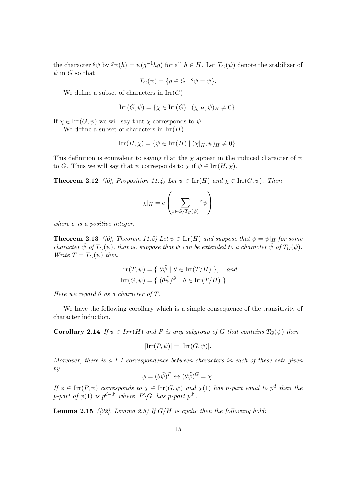the character  $g\psi$  by  $g\psi(h) = \psi(g^{-1}hg)$  for all  $h \in H$ . Let  $T_G(\psi)$  denote the stabilizer of  $\psi$  in G so that

$$
T_G(\psi) = \{ g \in G \mid {}^g \psi = \psi \}.
$$

We define a subset of characters in  $\mathrm{Irr}(G)$ 

$$
Irr(G, \psi) = \{ \chi \in Irr(G) \mid (\chi|_H, \psi)_H \neq 0 \}.
$$

If  $\chi \in \text{Irr}(G, \psi)$  we will say that  $\chi$  corresponds to  $\psi$ .

We define a subset of characters in  $\mathrm{Irr}(H)$ 

$$
\operatorname{Irr}(H,\chi)=\{\psi\in\operatorname{Irr}(H)\mid(\chi|_H,\psi)_H\neq 0\}.
$$

This definition is equivalent to saying that the  $\chi$  appear in the induced character of  $\psi$ to G. Thus we will say that  $\psi$  corresponds to  $\chi$  if  $\psi \in \text{Irr}(H, \chi)$ .

**Theorem 2.12** ([6], Proposition 11.4) Let  $\psi \in \text{Irr}(H)$  and  $\chi \in \text{Irr}(G, \psi)$ . Then

$$
\chi|_H = e \left( \sum_{x \in G/T_G(\psi)} x_{\psi} \right)
$$

where e is a positive integer.

**Theorem 2.13** ([6], Theorem 11.5) Let  $\psi \in \text{Irr}(H)$  and suppose that  $\psi = \tilde{\psi}|_H$  for some character  $\tilde{\psi}$  of  $T_G(\psi)$ , that is, suppose that  $\psi$  can be extended to a character  $\tilde{\psi}$  of  $T_G(\psi)$ . Write  $T = T_G(\psi)$  then

$$
Irr(T, \psi) = \{ \ \theta \tilde{\psi} \ | \ \theta \in Irr(T/H) \ \}, \quad and
$$

$$
Irr(G, \psi) = \{ \ (\theta \tilde{\psi})^G \ | \ \theta \in Irr(T/H) \ \}.
$$

Here we regard  $\theta$  as a character of T.

We have the following corollary which is a simple consequence of the transitivity of character induction.

**Corollary 2.14** If  $\psi \in Irr(H)$  and P is any subgroup of G that contains  $T_G(\psi)$  then

$$
|\mathrm{Irr}(P,\psi)| = |\mathrm{Irr}(G,\psi)|.
$$

Moreover, there is a 1-1 correspondence between characters in each of these sets given by

$$
\phi = (\theta \tilde{\psi})^P \leftrightarrow (\theta \tilde{\psi})^G = \chi.
$$

If  $\phi \in \text{Irr}(P, \psi)$  corresponds to  $\chi \in \text{Irr}(G, \psi)$  and  $\chi(1)$  has p-part equal to  $p^d$  then the p-part of  $\phi(1)$  is  $p^{d-d'}$  where  $|P\backslash G|$  has p-part  $p^{d'}$ .

**Lemma 2.15** ([22], Lemma 2.5) If  $G/H$  is cyclic then the following hold: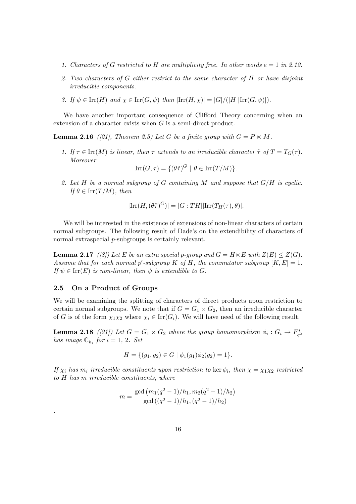- 1. Characters of G restricted to H are multiplicity free. In other words  $e = 1$  in 2.12.
- 2. Two characters of G either restrict to the same character of H or have disjoint irreducible components.
- 3. If  $\psi \in \text{Irr}(H)$  and  $\chi \in \text{Irr}(G, \psi)$  then  $|\text{Irr}(H, \chi)| = |G|/(|H||\text{Irr}(G, \psi)|)$ .

We have another important consequence of Clifford Theory concerning when an extension of a character exists when G is a semi-direct product.

**Lemma 2.16** ([21], Theorem 2.5) Let G be a finite group with  $G = P \ltimes M$ .

1. If  $\tau \in \text{Irr}(M)$  is linear, then  $\tau$  extends to an irreducible character  $\tilde{\tau}$  of  $T = T_G(\tau)$ . Moreover

 $\text{Irr}(G,\tau) = \{(\theta \tilde{\tau})^G \mid \theta \in \text{Irr}(T/M)\}.$ 

2. Let H be a normal subgroup of G containing M and suppose that  $G/H$  is cyclic. If  $\theta \in \text{Irr}(T/M)$ , then

$$
|\mathrm{Irr}(H,(\theta\tilde{\tau})^G)| = |G:TH||\mathrm{Irr}(T_H(\tau),\theta)|.
$$

We will be interested in the existence of extensions of non-linear characters of certain normal subgroups. The following result of Dade's on the extendibility of characters of normal extraspecial *p*-subgroups is certainly relevant.

**Lemma 2.17** ([8]) Let E be an extra special p-group and  $G = H \ltimes E$  with  $Z(E) \leq Z(G)$ . Assume that for each normal p'-subgroup K of H, the commutator subgroup  $[K, E] = 1$ . If  $\psi \in \text{Irr}(E)$  is non-linear, then  $\psi$  is extendible to G.

## 2.5 On a Product of Groups

.

We will be examining the splitting of characters of direct products upon restriction to certain normal subgroups. We note that if  $G = G_1 \times G_2$ , then an irreducible character of G is of the form  $\chi_1\chi_2$  where  $\chi_i \in \text{Irr}(G_i)$ . We will have need of the following result.

**Lemma 2.18** ([21]) Let  $G = G_1 \times G_2$  where the group homomorphism  $\phi_i : G_i \to F_{q^2}^*$ has image  $\mathbb{C}_{h_i}$  for  $i = 1, 2$ . Set

$$
H = \{ (g_1, g_2) \in G \mid \phi_1(g_1)\phi_2(g_2) = 1 \}.
$$

If  $\chi_i$  has  $m_i$  irreducible constituents upon restriction to ker  $\phi_i$ , then  $\chi = \chi_1 \chi_2$  restricted to H has m irreducible constituents, where

$$
m = \frac{\gcd((m_1(q^2 - 1)/h_1, m_2(q^2 - 1)/h_2)}{\gcd((q^2 - 1)/h_1, (q^2 - 1)/h_2)}
$$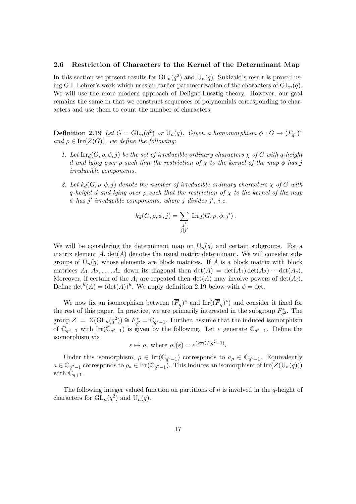#### 2.6 Restriction of Characters to the Kernel of the Determinant Map

In this section we present results for  $GL_n(q^2)$  and  $U_n(q)$ . Sukizaki's result is proved using G.I. Lehrer's work which uses an earlier parametrization of the characters of  $GL_n(q)$ . We will use the more modern approach of Deligne-Lusztig theory. However, our goal remains the same in that we construct sequences of polynomials corresponding to characters and use them to count the number of characters.

**Definition 2.19** Let  $G = GL_n(q^2)$  or  $U_n(q)$ . Given a homomorphism  $\phi : G \to (F_{q^2})^*$ and  $\rho \in \text{Irr}(Z(G))$ , we define the following:

- 1. Let  $\text{Irr}_{d}(G, \rho, \phi, j)$  be the set of irreducible ordinary characters  $\chi$  of G with q-height d and lying over  $\rho$  such that the restriction of  $\chi$  to the kernel of the map  $\phi$  has j irreducible components.
- 2. Let  $k_d(G, \rho, \phi, j)$  denote the number of irreducible ordinary characters  $\chi$  of G with q-height d and lying over  $\rho$  such that the restriction of  $\chi$  to the kernel of the map  $\phi$  has j' irreducible components, where j divides j', i.e.

$$
k_d(G, \rho, \phi, j) = \sum_{\substack{j' \\ j \mid j'}} |\text{Irr}_d(G, \rho, \phi, j')|.
$$

We will be considering the determinant map on  $U_n(q)$  and certain subgroups. For a matrix element  $A$ ,  $\det(A)$  denotes the usual matrix determinant. We will consider subgroups of  $U_n(q)$  whose elements are block matrices. If A is a block matrix with block matrices  $A_1, A_2, \ldots, A_s$  down its diagonal then  $\det(A) = \det(A_1) \det(A_2) \cdots \det(A_s)$ . Moreover, if certain of the  $A_i$  are repeated then  $\det(A)$  may involve powers of  $\det(A_i)$ . Define  $\det^h(A) = (\det(A))^h$ . We apply definition 2.19 below with  $\phi = \det(A)$ .

We now fix an isomorphism between  $(\overline{F}_q)^*$  and  $\text{Irr}((\overline{F}_q)^*)$  and consider it fixed for the rest of this paper. In practice, we are primarily interested in the subgroup  $F_{q^2}^*$ . The group  $Z = Z(\mathrm{GL}_n(q^2)) \cong F_{q^2}^* = \mathbb{C}_{q^2-1}$ . Further, assume that the induced isomorphism of  $\mathbb{C}_{q^2-1}$  with Irr $(\mathbb{C}_{q^2-1})$  is given by the following. Let  $\varepsilon$  generate  $\mathbb{C}_{q^2-1}$ . Define the isomorphism via

$$
\varepsilon \mapsto \rho_{\varepsilon}
$$
 where  $\rho_{\varepsilon}(\varepsilon) = e^{(2\pi i)/(q^2-1)}$ .

Under this isomorphism,  $\rho \in \text{Irr}(\mathbb{C}_{q^2-1})$  corresponds to  $a_{\rho} \in \mathbb{C}_{q^2-1}$ . Equivalently  $a \in \mathbb{C}_{q^2-1}$  corresponds to  $\rho_a \in \text{Irr}(\mathbb{C}_{q^2-1})$ . This induces an isomorphism of  $\text{Irr}(Z(\mathbb{U}_n(q)))$ with  $\mathbb{C}_{q+1}$ .

The following integer valued function on partitions of n is involved in the q-height of characters for  $GL_n(q^2)$  and  $U_n(q)$ .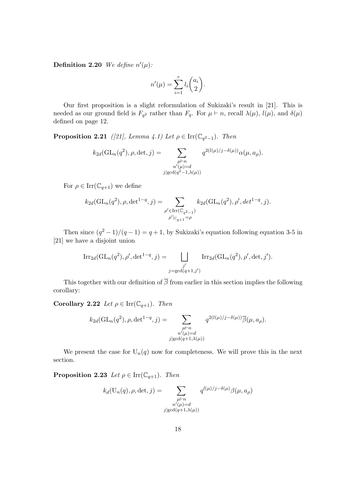**Definition 2.20** We define  $n'(\mu)$ :

$$
n'(\mu) = \sum_{i=1}^r l_i \binom{a_i}{2}.
$$

Our first proposition is a slight reformulation of Sukizaki's result in [21]. This is needed as our ground field is  $F_{q^2}$  rather than  $F_q$ . For  $\mu \vdash n$ , recall  $\lambda(\mu)$ ,  $l(\mu)$ , and  $\delta(\mu)$ defined on page 12.

**Proposition 2.21** ([21], Lemma 4.1) Let  $\rho \in \text{Irr}(\mathbb{C}_{q^2-1})$ . Then

$$
k_{2d}(\mathrm{GL}_n(q^2), \rho, \det, j) = \sum_{\substack{\mu \vdash n \\ n'(\mu) = d \\ j \mid \gcd(q^2 - 1, \lambda(\mu))}} q^{2(l(\mu)/j - \delta(\mu))} \alpha(\mu, a_\rho).
$$

For  $\rho \in \text{Irr}(\mathbb{C}_{q+1})$  we define

$$
k_{2d}(\mathrm{GL}_n(q^2), \rho, \det^{1-q}, j) = \sum_{\substack{\rho' \in \text{Irr}(\mathbb{C}_{q^2-1}) \\ \rho' \mid_{\mathbb{C}_{q+1}} = \rho}} k_{2d}(\mathrm{GL}_n(q^2), \rho', \det^{1-q}, j).
$$

Then since  $(q^2-1)/(q-1) = q+1$ , by Sukizaki's equation following equation 3-5 in [21] we have a disjoint union

$$
\operatorname{Irr}_{2d}(\operatorname{GL}_n(q^2), \rho', \det^{1-q}, j) = \bigsqcup_{\substack{j'\\j' = \gcd(q+1, j')}} \operatorname{Irr}_{2d}(\operatorname{GL}_n(q^2), \rho', \det, j').
$$

This together with our definition of  $\overline{\beta}$  from earlier in this section implies the following corollary:

Corollary 2.22 Let  $\rho \in \text{Irr}(\mathbb{C}_{q+1})$ . Then

$$
k_{2d}(\mathrm{GL}_n(q^2), \rho, \det^{1-q}, j) = \sum_{\substack{\mu \vdash n \\ n'(\mu) = d \\ j \mid \gcd(q+1, \lambda(\mu))}} q^{2(l(\mu)/j - \delta(\mu))} \overline{\beta}(\mu, a_\rho).
$$

We present the case for  $U_n(q)$  now for completeness. We will prove this in the next section.

**Proposition 2.23** Let  $\rho \in \text{Irr}(\mathbb{C}_{q+1})$ . Then

$$
k_d(\mathbf{U}_n(q), \rho, \det, j) = \sum_{\substack{\mu \vdash n \\ n'(\mu) = d \\ j \mid \gcd(q+1, \lambda(\mu))}} q^{l(\mu)/j - \delta(\mu)} \beta(\mu, a_\rho)
$$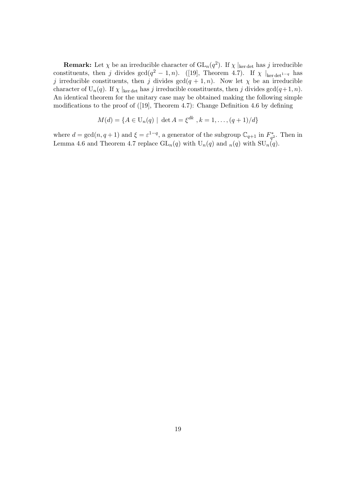**Remark:** Let  $\chi$  be an irreducible character of  $GL_n(q^2)$ . If  $\chi \mid_{\text{ker det}}$  has j irreducible constituents, then j divides  $gcd(q^2 - 1, n)$ . ([19], Theorem 4.7). If  $\chi$  |<sub>ker det</sub><sub>1−q</sub> has j irreducible constituents, then j divides  $gcd(q + 1, n)$ . Now let  $\chi$  be an irreducible character of  $U_n(q)$ . If  $\chi$  |<sub>ker det</sub> has j irreducible constituents, then j divides gcd( $q+1, n$ ). An identical theorem for the unitary case may be obtained making the following simple modifications to the proof of ([19], Theorem 4.7): Change Definition 4.6 by defining

$$
M(d) = \{ A \in U_n(q) \mid \det A = \xi^{dk}, k = 1, \dots, (q+1)/d \}
$$

where  $d = \gcd(n, q + 1)$  and  $\xi = \varepsilon^{1-q}$ , a generator of the subgroup  $\mathbb{C}_{q+1}$  in  $F_{q^2}^*$ . Then in Lemma 4.6 and Theorem 4.7 replace  $GL_n(q)$  with  $U_n(q)$  and  $_n(q)$  with  $SU_n(q)$ .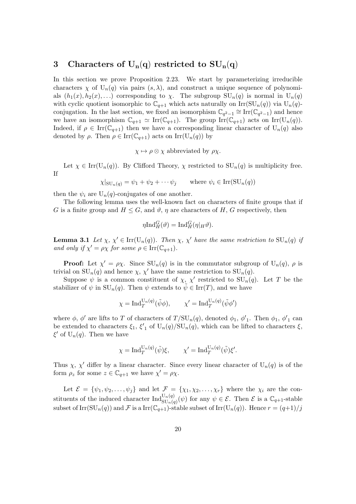## 3 Characters of  $U_n(q)$  restricted to  $SU_n(q)$

In this section we prove Proposition 2.23. We start by parameterizing irreducible characters  $\chi$  of  $U_n(q)$  via pairs  $(s, \lambda)$ , and construct a unique sequence of polynomials  $(h_1(x), h_2(x), ...)$  corresponding to  $\chi$ . The subgroup  $SU_n(q)$  is normal in  $U_n(q)$ with cyclic quotient isomorphic to  $\mathbb{C}_{q+1}$  which acts naturally on Irr(SU<sub>n</sub>(q)) via U<sub>n</sub>(q)conjugation. In the last section, we fixed an isomorphism  $\mathbb{C}_{q^2-1} \cong \text{Irr}(\mathbb{C}_{q^2-1})$  and hence we have an isomorphism  $\mathbb{C}_{q+1} \simeq \text{Irr}(\mathbb{C}_{q+1})$ . The group  $\text{Irr}(\mathbb{C}_{q+1})$  acts on  $\text{Irr}(\mathbb{U}_n(q))$ . Indeed, if  $\rho \in \text{Irr}(\mathbb{C}_{q+1})$  then we have a corresponding linear character of  $U_n(q)$  also denoted by  $\rho$ . Then  $\rho \in \text{Irr}(\mathbb{C}_{q+1})$  acts on  $\text{Irr}(\mathbb{U}_n(q))$  by

 $\chi \mapsto \rho \otimes \chi$  abbreviated by  $\rho \chi$ .

Let  $\chi \in \text{Irr}(\mathcal{U}_n(q))$ . By Clifford Theory,  $\chi$  restricted to  $\text{SU}_n(q)$  is multiplicity free. If

$$
\chi|_{\mathrm{SU}_n(q)} = \psi_1 + \psi_2 + \cdots \psi_j \quad \text{where } \psi_i \in \mathrm{Irr}(\mathrm{SU}_n(q))
$$

then the  $\psi_i$  are  $U_n(q)$ -conjugates of one another.

The following lemma uses the well-known fact on characters of finite groups that if G is a finite group and  $H \leq G$ , and  $\vartheta$ ,  $\eta$  are characters of H, G respectively, then

$$
\eta \mathrm{Ind}_{H}^{G}(\vartheta) = \mathrm{Ind}_{H}^{G}(\eta|_{H}\vartheta).
$$

**Lemma 3.1** Let  $\chi$ ,  $\chi' \in \text{Irr}(\text{U}_n(q))$ . Then  $\chi$ ,  $\chi'$  have the same restriction to  $\text{SU}_n(q)$  if and only if  $\chi' = \rho \chi$  for some  $\rho \in \text{Irr}(\mathbb{C}_{q+1})$ .

**Proof:** Let  $\chi' = \rho \chi$ . Since  $SU_n(q)$  is in the commutator subgroup of  $U_n(q)$ ,  $\rho$  is trivial on  $SU_n(q)$  and hence  $\chi$ ,  $\chi'$  have the same restriction to  $SU_n(q)$ .

Suppose  $\psi$  is a common constituent of  $\chi$ ,  $\chi'$  restricted to  $SU_n(q)$ . Let T be the stabilizer of  $\psi$  in  $SU_n(q)$ . Then  $\psi$  extends to  $\psi \in \text{Irr}(T)$ , and we have

$$
\chi = \mathrm{Ind}_{T}^{\mathrm{U}_{n}(q)}(\tilde{\psi}\phi), \qquad \chi' = \mathrm{Ind}_{T}^{\mathrm{U}_{n}(q)}(\tilde{\psi}\phi')
$$

where  $\phi$ ,  $\phi'$  are lifts to T of characters of  $T/\mathrm{SU}_n(q)$ , denoted  $\phi_1$ ,  $\phi'_1$ . Then  $\phi_1$ ,  $\phi'_1$  can be extended to characters  $\xi_1$ ,  $\xi'_1$  of  $U_n(q)/SU_n(q)$ , which can be lifted to characters  $\xi$ ,  $\xi'$  of  $U_n(q)$ . Then we have

$$
\chi = \mathrm{Ind}_T^{\mathrm{U}_n(q)}(\tilde{\psi})\xi, \qquad \chi' = \mathrm{Ind}_T^{\mathrm{U}_n(q)}(\tilde{\psi})\xi'.
$$

Thus  $\chi$ ,  $\chi'$  differ by a linear character. Since every linear character of  $U_n(q)$  is of the form  $\rho_z$  for some  $z \in \mathbb{C}_{q+1}$  we have  $\chi' = \rho \chi$ .

Let  $\mathcal{E} = {\psi_1, \psi_2, \ldots, \psi_j}$  and let  $\mathcal{F} = {\chi_1, \chi_2, \ldots, \chi_r}$  where the  $\chi_i$  are the constituents of the induced character  $\text{Ind}_{\text{SU}_n(q)}^{\text{U}_n(q)}(\psi)$  for any  $\psi \in \mathcal{E}$ . Then  $\mathcal{E}$  is a  $\mathbb{C}_{q+1}$ -stable subset of  $\text{Irr}(\text{SU}_n(q))$  and  $\mathcal F$  is a  $\text{Irr}(\mathbb{C}_{q+1})$ -stable subset of  $\text{Irr}(\text{U}_n(q))$ . Hence  $r = (q+1)/j$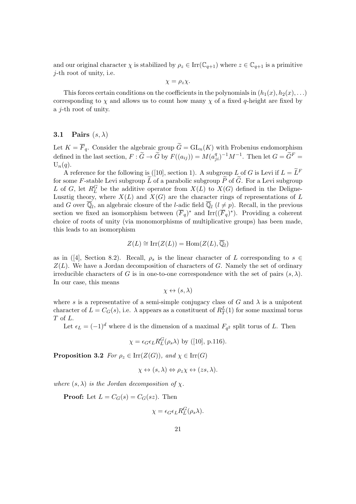and our original character  $\chi$  is stabilized by  $\rho_z \in \text{Irr}(\mathbb{C}_{q+1})$  where  $z \in \mathbb{C}_{q+1}$  is a primitive j-th root of unity, i.e.

 $\chi = \rho_z \chi$ .

This forces certain conditions on the coefficients in the polynomials in  $(h_1(x), h_2(x), \ldots)$ corresponding to  $\chi$  and allows us to count how many  $\chi$  of a fixed q-height are fixed by a j-th root of unity.

## 3.1 Pairs  $(s, \lambda)$

Let  $K = \overline{F}_q$ . Consider the algebraic group  $\widetilde{G} = GL_n(K)$  with Frobenius endomorphism defined in the last section,  $F: \widetilde{G} \to \widetilde{G}$  by  $F((a_{ij})) = M(a_{ji}^q)^{-1}M^{-1}$ . Then let  $G = \widetilde{G}^F =$  $U_n(q)$ .

A reference for the following is ([10], section 1). A subgroup L of G is Levi if  $L = \tilde{L}^F$ for some F-stable Levi subgroup  $\tilde{L}$  of a parabolic subgroup  $\tilde{P}$  of  $\tilde{G}$ . For a Levi subgroup L of G, let  $R_L^G$  be the additive operator from  $X(L)$  to  $X(G)$  defined in the Deligne-Lusztig theory, where  $X(L)$  and  $X(G)$  are the character rings of representations of L and G over  $\overline{\mathbb{Q}}_l$ , an algebraic closure of the *l*-adic field  $\overline{\mathbb{Q}}_l$  ( $l \neq p$ ). Recall, in the previous section we fixed an isomorphism between  $(\overline{F}_q)^*$  and  $\text{Irr}((\overline{F}_q)^*)$ . Providing a coherent choice of roots of unity (via monomorphisms of multiplicative groups) has been made, this leads to an isomorphism

$$
Z(L) \cong \operatorname{Irr}(Z(L)) = \operatorname{Hom}(Z(L), \overline{\mathbb{Q}}_l)
$$

as in ([4], Section 8.2). Recall,  $\rho_s$  is the linear character of L corresponding to  $s \in \mathbb{R}$  $Z(L)$ . We have a Jordan decomposition of characters of G. Namely the set of ordinary irreducible characters of G is in one-to-one correspondence with the set of pairs  $(s, \lambda)$ . In our case, this means

$$
\chi \leftrightarrow (s,\lambda)
$$

where s is a representative of a semi-simple conjugacy class of G and  $\lambda$  is a unipotent character of  $L = C_G(s)$ , i.e.  $\lambda$  appears as a constituent of  $R_T^L(1)$  for some maximal torus T of L.

Let  $\epsilon_L = (-1)^d$  where d is the dimension of a maximal  $F_{q^2}$  split torus of L. Then

$$
\chi = \epsilon_G \epsilon_L R_L^G(\rho_s \lambda)
$$
 by ([10], p.116).

**Proposition 3.2** For  $\rho_z \in \text{Irr}(Z(G))$ , and  $\chi \in \text{Irr}(G)$ 

$$
\chi \leftrightarrow (s, \lambda) \Leftrightarrow \rho_z \chi \leftrightarrow (zs, \lambda).
$$

where  $(s, \lambda)$  is the Jordan decomposition of  $\chi$ .

**Proof:** Let  $L = C_G(s) = C_G(sz)$ . Then

$$
\chi = \epsilon_G \epsilon_L R_L^G(\rho_s \lambda).
$$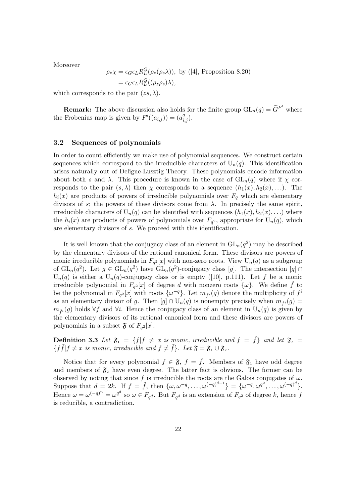Moreover

$$
\rho_z \chi = \epsilon_G \epsilon_L R_L^G(\rho_z(\rho_s \lambda)), \text{ by ([4], Proposition 8.20)}
$$
  
=  $\epsilon_G \epsilon_L R_L^G((\rho_z \rho_s) \lambda),$ 

which corresponds to the pair  $(z\tilde{s}, \lambda)$ .

**Remark:** The above discussion also holds for the finite group  $GL_n(q) = \widetilde{G}^{F'}$  where the Frobenius map is given by  $F'((a_{i,j})) = (a_{i,j}^q)$ .

#### 3.2 Sequences of polynomials

In order to count efficiently we make use of polynomial sequences. We construct certain sequences which correspond to the irreducible characters of  $U_n(q)$ . This identification arises naturally out of Deligne-Lusztig Theory. These polynomials encode information about both s and  $\lambda$ . This procedure is known in the case of  $GL_n(q)$  where if  $\chi$  corresponds to the pair  $(s, \lambda)$  then  $\chi$  corresponds to a sequence  $(h_1(x), h_2(x), \ldots)$ . The  $h_i(x)$  are products of powers of irreducible polynomials over  $F_q$  which are elementary divisors of s; the powers of these divisors come from  $\lambda$ . In precisely the same spirit, irreducible characters of  $U_n(q)$  can be identified with sequences  $(h_1(x), h_2(x), ...)$  where the  $h_i(x)$  are products of powers of polynomials over  $F_{q^2}$ , appropriate for  $U_n(q)$ , which are elementary divisors of s. We proceed with this identification.

It is well known that the conjugacy class of an element in  $GL_n(q^2)$  may be described by the elementary divisors of the rational canonical form. These divisors are powers of monic irreducible polynomials in  $F_{q^2}[x]$  with non-zero roots. View  $U_n(q)$  as a subgroup of  $GL_n(q^2)$ . Let  $g \in GL_n(q^2)$  have  $GL_n(q^2)$ -conjugacy class [g]. The intersection [g]  $\cap$  $U_n(q)$  is either a  $U_n(q)$ -conjugacy class or is empty ([10], p.111). Let f be a monic irreducible polynomial in  $F_{q^2}[x]$  of degree d with nonzero roots  $\{\omega\}$ . We define  $\tilde{f}$  to be the polynomial in  $F_{q^2}[x]$  with roots  $\{\omega^{-q}\}$ . Let  $m_{f^i}(g)$  denote the multiplicity of  $f^i$ as an elementary divisor of g. Then  $[g] \cap U_n(q)$  is nonempty precisely when  $m_{f^i}(g) =$  $m_{\tilde{f}i}(g)$  holds  $\forall f$  and  $\forall i$ . Hence the conjugacy class of an element in  $U_n(q)$  is given by the elementary divisors of its rational canonical form and these divisors are powers of polynomials in a subset  $\mathfrak{F}$  of  $F_{q^2}[x]$ .

**Definition 3.3** Let  $\mathfrak{F}_1 = \{f | f \neq x \text{ is monic, irreducible and } f = \tilde{f} \}$  and let  $\mathfrak{F}_2 =$  $\{f\tilde{f}|f \neq x \text{ is monic, irreducible and } f \neq \tilde{f}\}\text{. Let } \mathfrak{F} = \mathfrak{F}_1 \cup \mathfrak{F}_2.$ 

Notice that for every polynomial  $f \in \mathfrak{F}$ ,  $f = \tilde{f}$ . Members of  $\mathfrak{F}_1$  have odd degree and members of  $\mathfrak{F}_2$  have even degree. The latter fact is obvious. The former can be observed by noting that since f is irreducible the roots are the Galois conjugates of  $\omega$ . Suppose that  $d = 2k$ . If  $f = \tilde{f}$ , then  $\{\omega, \omega^{-q}, \ldots, \omega^{(-q)^{d-1}}\} = \{\omega^{-q}, \omega^{q^2}, \ldots, \omega^{(-q)^d}\}.$ Hence  $\omega = \omega^{(-q)^n} = \omega^{q^d}$  so  $\omega \in F_{q^d}$ . But  $F_{q^d}$  is an extension of  $F_{q^2}$  of degree k, hence f is reducible, a contradiction.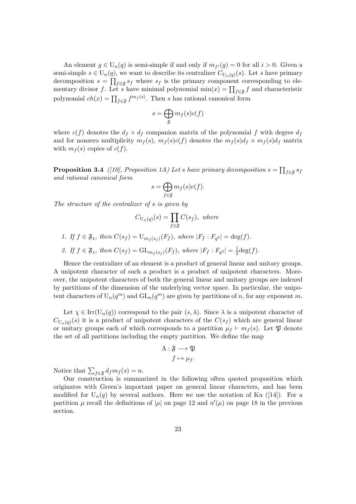An element  $g \in U_n(q)$  is semi-simple if and only if  $m_{f^i}(g) = 0$  for all  $i > 0$ . Given a semi-simple  $s \in U_n(q)$ , we want to describe its centralizer  $C_{U_n(q)}(s)$ . Let s have primary decomposition  $s = \prod_{f \in \mathfrak{F}} s_f$  where  $s_f$  is the primary component corresponding to elementary divisor f. Let s have minimal polynomial  $\min(x) = \prod_{f \in \mathfrak{F}} f$  and characteristic polynomial  $ch(x) = \prod_{f \in \mathfrak{F}} f^{m_f(s)}$ . Then s has rational canonical form

$$
s = \bigoplus_{\mathfrak{F}} m_f(s)c(f)
$$

where  $c(f)$  denotes the  $d_f \times d_f$  companion matrix of the polynomial f with degree  $d_f$ and for nonzero multiplicity  $m_f(s)$ ,  $m_f(s)c(f)$  denotes the  $m_f(s)d_f \times m_f(s)d_f$  matrix with  $m_f(s)$  copies of  $c(f)$ .

**Proposition 3.4** ([10], Proposition 1A) Let s have primary decomposition  $s = \prod_{f \in \mathfrak{F}} s_f$ and rational canonical form

$$
s = \bigoplus_{f \in \mathfrak{F}} m_f(s)c(f).
$$

The structure of the centralizer of s is given by

$$
C_{U_n(q)}(s) = \prod_{f \in \mathfrak{F}} C(s_f), \text{ where}
$$

1. If  $f \in \mathfrak{F}_1$ , then  $C(s_f) = \mathrm{U}_{m_f(s_f)}(F_f)$ , where  $|F_f : F_{q^2}| = \deg(f)$ .

2. If  $f \in \mathfrak{F}_2$ , then  $C(s_f) = GL_{m_f(s_f)}(F_f)$ , where  $|F_f : F_{q^2}| = \frac{1}{2}$  $\frac{1}{2}$ deg $(f)$ .

Hence the centralizer of an element is a product of general linear and unitary groups. A unipotent character of such a product is a product of unipotent characters. Moreover, the unipotent characters of both the general linear and unitary groups are indexed by partitions of the dimension of the underlying vector space. In particular, the unipotent characters of  $U_n(q^m)$  and  $GL_n(q^m)$  are given by partitions of n, for any exponent m.

Let  $\chi \in \text{Irr}(\mathbf{U}_n(q))$  correspond to the pair  $(s, \lambda)$ . Since  $\lambda$  is a unipotent character of  $C_{U_n(q)}(s)$  it is a product of unipotent characters of the  $C(s_f)$  which are general linear or unitary groups each of which corresponds to a partition  $\mu_f \vdash m_f (s)$ . Let  $\mathfrak P$  denote the set of all partitions including the empty partition. We define the map

$$
\Lambda: \mathfrak{F} \longrightarrow \mathfrak{P}
$$

$$
f \mapsto \mu_f.
$$

Notice that  $\sum_{f \in \mathfrak{F}} d_f m_f(s) = n$ .

Our construction is summarized in the following often quoted proposition which originates with Green's important paper on general linear characters, and has been modified for  $U_n(q)$  by several authors. Here we use the notation of Ku ([14]). For a partition  $\mu$  recall the definitions of  $|\mu|$  on page 12 and  $n'(\mu)$  on page 18 in the previous section.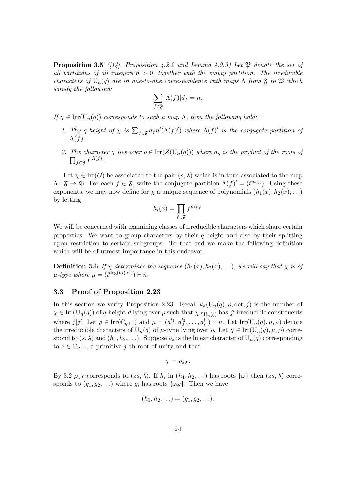**Proposition 3.5** ([14], Proposition 4.2.2 and Lemma 4.2.3) Let  $\mathfrak{P}$  denote the set of all partitions of all integers  $n > 0$ , together with the empty partition. The irreducible characters of  $U_n(q)$  are in one-to-one correspondence with maps  $\Lambda$  from  $\mathfrak F$  to  $\mathfrak P$  which satisfy the following:

$$
\sum_{f \in \mathfrak{F}} |\Lambda(f)| d_f = n.
$$

If  $\chi \in \text{Irr}(\mathcal{U}_n(q))$  corresponds to such a map  $\Lambda$ , then the following hold:

- 1. The q-height of  $\chi$  is  $\sum_{f \in \mathfrak{F}} df^n(\Lambda(f)')$  where  $\Lambda(f)'$  is the conjugate partition of  $\Lambda(f)$ .
- 2. The character  $\chi$  lies over  $\rho \in \text{Irr}(Z(\text{U}_n(q)))$  where  $a_\rho$  is the product of the roots of  $\prod_{f\in \mathfrak{F}}f^{|\Lambda(f)|}.$

Let  $\chi \in \text{Irr}(G)$  be associated to the pair  $(s, \lambda)$  which is in turn associated to the map  $\Lambda: \mathfrak{F} \to \mathfrak{P}$ . For each  $f \in \mathfrak{F}$ , write the conjugate partition  $\Lambda(f)' = (t^{m_{f,t}})$ . Using these exponents, we may now define for  $\chi$  a unique sequence of polynomials  $(h_1(x), h_2(x), ...)$ by letting

$$
h_i(x) = \prod_{f \in \mathfrak{F}} f^{m_{f,i}}.
$$

We will be concerned with examining classes of irreducible characters which share certain properties. We want to group characters by their  $q$ -height and also by their splitting upon restriction to certain subgroups. To that end we make the following definition which will be of utmost importance in this endeavor.

**Definition 3.6** If  $\chi$  determines the sequence  $(h_1(x), h_2(x), ...)$ , we will say that  $\chi$  is of  $\mu$ -type where  $\mu = (t^{\deg(h_t(x))}) \vdash n$ .

## 3.3 Proof of Proposition 2.23

In this section we verify Proposition 2.23. Recall  $k_d(U_n(q), \rho, \det, j)$  is the number of  $\chi \in \text{Irr}(\mathcal{U}_n(q))$  of q-height d lying over  $\rho$  such that  $\chi|_{\text{SU}_n(q)}$  has j' irreducible constituents where  $j|j'$ . Let  $\rho \in \text{Irr}(\mathbb{C}_{q+1})$  and  $\mu = (a_1^{l_1}, a_2^{l_2}, \dots, a_r^{l_r}) \vdash n$ . Let  $\text{Irr}(\mathbb{U}_n(q), \mu, \rho)$  denote the irreducible characters of  $U_n(q)$  of  $\mu$ -type lying over  $\rho$ . Let  $\chi \in \text{Irr}(U_n(q), \mu, \rho)$  correspond to  $(s, \lambda)$  and  $(h_1, h_2, \ldots)$ . Suppose  $\rho_z$  is the linear character of  $U_n(q)$  corresponding to  $z \in \mathbb{C}_{q+1}$ , a primitive *j*-th root of unity and that

$$
\chi = \rho_z \chi.
$$

By 3.2  $\rho_z \chi$  corresponds to  $(zs, \lambda)$ . If  $h_i$  in  $(h_1, h_2, ...)$  has roots  $\{\omega\}$  then  $(zs, \lambda)$  corresponds to  $(q_1, q_2, \ldots)$  where  $q_i$  has roots  $\{z\omega\}$ . Then we have

$$
(h_1, h_2, \ldots) = (g_1, g_2, \ldots).
$$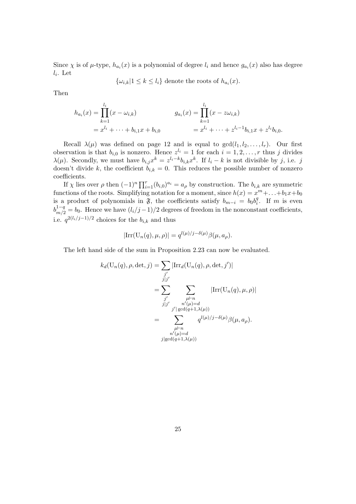Since  $\chi$  is of  $\mu$ -type,  $h_{a_i}(x)$  is a polynomial of degree  $l_i$  and hence  $g_{a_i}(x)$  also has degree  $l_i$ . Let

$$
\{\omega_{i,k}|1\leq k\leq l_i\}
$$
 denote the roots of  $h_{a_i}(x)$ .

Then

$$
h_{a_i}(x) = \prod_{k=1}^{l_i} (x - \omega_{i,k})
$$
  
=  $x^{l_i} + \dots + b_{i,1}x + b_{i,0}$   

$$
g_{a_i}(x) = \prod_{k=1}^{l_i} (x - z\omega_{i,k})
$$
  
=  $x^{l_i} + \dots + z^{l_i-1}b_{i,1}x + z^{l_i}b_{i,0}.$ 

Recall  $\lambda(\mu)$  was defined on page 12 and is equal to  $gcd(l_1, l_2, \ldots, l_r)$ . Our first observation is that  $b_{i,0}$  is nonzero. Hence  $z^{l_i} = 1$  for each  $i = 1, 2, \ldots, r$  thus j divides  $\lambda(\mu)$ . Secondly, we must have  $b_{i,j}x^k = z^{l_i-k}b_{i,k}x^k$ . If  $l_i - k$  is not divisible by j, i.e. j doesn't divide k, the coefficient  $b_{i,k} = 0$ . This reduces the possible number of nonzero coefficients.

If  $\chi$  lies over  $\rho$  then  $(-1)^n \prod_{i=1}^r (b_{i,0})^{a_i} = a_\rho$  by construction. The  $b_{i,k}$  are symmetric functions of the roots. Simplifying notation for a moment, since  $h(x) = x^m + \ldots + b_1x + b_0$ is a product of polynomials in  $\mathfrak{F}$ , the coefficients satisfy  $b_{m-i} = b_0 b_i^d$  $i<sup>q</sup>$ . If m is even  $b_{m/2}^{1-q} = b_0$ . Hence we have  $(l_i/j - 1)/2$  degrees of freedom in the nonconstant coefficients, i.e.  $q^{2(l_i/j-1)/2}$  choices for the  $b_{i,k}$  and thus

$$
|\mathrm{Irr}(\mathrm{U}_n(q), \mu, \rho)| = q^{l(\mu)/j - \delta(\mu)} \beta(\mu, a_\rho).
$$

The left hand side of the sum in Proposition 2.23 can now be evaluated.

$$
k_d(\mathbf{U}_n(q), \rho, \det, j) = \sum_{\substack{j' \\ j \mid j'}} |\text{Irr}_d(\mathbf{U}_n(q), \rho, \det, j')|
$$
  
= 
$$
\sum_{\substack{j' \\ j \mid j'}} \sum_{\substack{\mu \vdash n \\ n'(\mu) = d \\ j' | \gcd(q+1, \lambda(\mu))}} |\text{Irr}(\mathbf{U}_n(q), \mu, \rho)|
$$
  
= 
$$
\sum_{\substack{\mu \vdash n \\ n'(\mu) = d \\ j | \gcd(q+1, \lambda(\mu))}} q^{l(\mu)/j - \delta(\mu)} \beta(\mu, a_\rho).
$$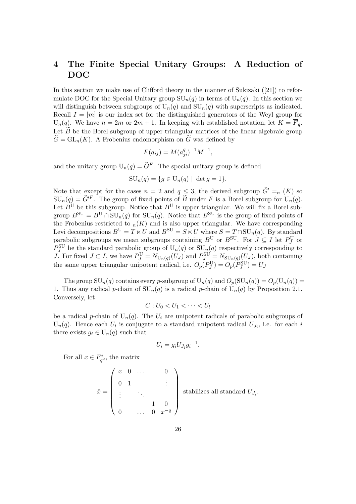## 4 The Finite Special Unitary Groups: A Reduction of DOC

In this section we make use of Clifford theory in the manner of Sukizaki ([21]) to reformulate DOC for the Special Unitary group  $SU_n(q)$  in terms of  $U_n(q)$ . In this section we will distinguish between subgroups of  $U_n(q)$  and  $SU_n(q)$  with superscripts as indicated. Recall  $I = [m]$  is our index set for the distinguished generators of the Weyl group for  $U_n(q)$ . We have  $n = 2m$  or  $2m + 1$ . In keeping with established notation, let  $K = \overline{F}_q$ . Let  $\widetilde{B}$  be the Borel subgroup of upper triangular matrices of the linear algebraic group  $G = GL_n(K)$ . A Frobenius endomorphism on  $\tilde{G}$  was defined by

$$
F(a_{ij}) = M(a_{ji}^q)^{-1}M^{-1},
$$

and the unitary group  $U_n(q) = \widetilde{G}^F$ . The special unitary group is defined

$$
SU_n(q) = \{ g \in U_n(q) \mid \det g = 1 \}.
$$

Note that except for the cases  $n = 2$  and  $q \leq 3$ , the derived subgroup  $\widetilde{G}' =_n (K)$  so  $SU_n(q) = \widetilde{G}^{\prime F}$ . The group of fixed points of  $\widetilde{B}$  under F is a Borel subgroup for  $U_n(q)$ . Let  $B^U$  be this subgroup. Notice that  $B^U$  is upper triangular. We will fix a Borel subgroup  $B^{SU} = B^{U} \cap SU_n(q)$  for  $SU_n(q)$ . Notice that  $B^{SU}$  is the group of fixed points of the Frobenius restricted to  $_n(K)$  and is also upper triangular. We have corresponding Levi decompositions  $B^U = T \ltimes U$  and  $B^{SU} = S \ltimes U$  where  $S = T \cap SU_n(q)$ . By standard parabolic subgroups we mean subgroups containing  $B^U$  or  $B^{\text{SU}}$ . For  $J \subseteq I$  let  $P_J^U$  or  $P_J^{\text{SU}}$  be the standard parabolic group of  $U_n(q)$  or  $SU_n(q)$  respectively corresponding to *J*. For fixed  $J \subset I$ , we have  $P_J^{\mathrm{U}} = N_{\mathrm{U}_n(q)}(U_J)$  and  $P_J^{\mathrm{SU}} = N_{\mathrm{SU}_n(q)}(U_J)$ , both containing the same upper triangular unipotent radical, i.e.  $O_p(P_J^{\mathrm{U}}) = O_p(P_J^{\mathrm{SU}}) = U_J$ 

The group  $SU_n(q)$  contains every p-subgroup of  $U_n(q)$  and  $O_p(SU_n(q)) = O_p(U_n(q))$ 1. Thus any radical p-chain of  $SU_n(q)$  is a radical p-chain of  $U_n(q)$  by Proposition 2.1. Conversely, let

$$
C: U_0 < U_1 < \cdots < U_l
$$

be a radical p-chain of  $U_n(q)$ . The  $U_i$  are unipotent radicals of parabolic subgroups of  $U_n(q)$ . Hence each  $U_i$  is conjugate to a standard unipotent radical  $U_{J_i}$ , i.e. for each i there exists  $g_i \in U_n(q)$  such that

$$
U_i = g_i U_{J_i} g_i^{-1}.
$$

For all  $x \in F_{q^2}^*$ , the matrix

$$
\bar{x} = \begin{pmatrix} x & 0 & \dots & 0 \\ 0 & 1 & & \vdots \\ \vdots & & \ddots & \\ 0 & & \dots & 0 & x^{-q} \end{pmatrix} \text{ stabilizes all standard } U_{J_i}.
$$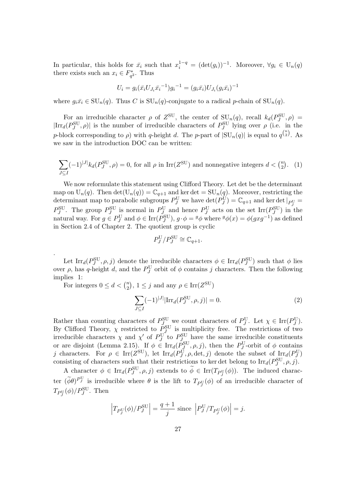In particular, this holds for  $\bar{x}_i$  such that  $x_i^{1-q} = (\det(g_i))^{-1}$ . Moreover,  $\forall g_i \in U_n(q)$ there exists such an  $x_i \in F_{q^2}^*$ . Thus

$$
U_i = g_i(\bar{x_i}U_{J_i}\bar{x_i}^{-1})g_i^{-1} = (g_i\bar{x_i})U_{J_i}(g_i\bar{x_i})^{-1}
$$

where  $g_i\bar{x}_i \in \mathrm{SU}_n(q)$ . Thus C is  $\mathrm{SU}_n(q)$ -conjugate to a radical p-chain of  $\mathrm{SU}_n(q)$ .

For an irreducible character  $\rho$  of  $Z^{\text{SU}}$ , the center of  $\text{SU}_n(q)$ , recall  $k_d(P_J^{\text{SU}}, \rho)$  $|\text{Irr}_d(P_J^{\text{SU}}, \rho)|$  is the number of irreducible characters of  $P_J^{\text{SU}}$  lying over  $\rho$  (i.e. in the p-block corresponding to  $\rho$ ) with q-height d. The p-part of  $|\text{SU}_n(q)|$  is equal to  $q^{\binom{n}{2}}$ . As we saw in the introduction DOC can be written:

$$
\sum_{J \subseteq I} (-1)^{|J|} k_d(P_J^{\text{SU}}, \rho) = 0
$$
, for all  $\rho$  in  $\text{Irr}(Z^{\text{SU}})$  and nonnegative integers  $d < {n \choose 2}$ . (1)

We now reformulate this statement using Clifford Theory. Let det be the determinant map on  $U_n(q)$ . Then  $\det(U_n(q)) = \mathbb{C}_{q+1}$  and ker  $\det = SU_n(q)$ . Moreover, restricting the determinant map to parabolic subgroups  $P_J^{\rm U}$  we have  $\det(P_J^{\rm U}) = \mathbb{C}_{q+1}$  and ker  $\det|_{P_J^{\rm U}} =$  $P_J^{\text{SU}}$ . The group  $P_J^{\text{SU}}$  is normal in  $P_{J_{\text{max}}}^{\text{U}}$  and hence  $P_J^{\text{U}}$  acts on the set Irr( $P_J^{\text{SU}}$ ) in the natural way. For  $g \in P_J^U$  and  $\phi \in \text{Irr}(P_J^{\text{SU}})$ ,  $g \cdot \phi = {}^g\phi$  where  ${}^g\phi(x) = \phi(gxg^{-1})$  as defined in Section 2.4 of Chapter 2. The quotient group is cyclic

$$
P_J^{\mathrm{U}}/P_J^{\mathrm{SU}}\cong \mathbb{C}_{q+1}.
$$

Let  $\text{Irr}_d(P_J^{\text{SU}}, \rho, j)$  denote the irreducible characters  $\phi \in \text{Irr}_d(P_J^{\text{SU}})$  such that  $\phi$  lies over  $\rho$ , has q-height d, and the  $P_J^{\rm U}$  orbit of  $\phi$  contains j characters. Then the following implies 1:

For integers  $0 \leq d < \binom{n}{2}$  $\binom{n}{2}$ ,  $1 \leq j$  and any  $\rho \in \text{Irr}(Z^{\text{SU}})$ 

.

$$
\sum_{J \subseteq I} (-1)^{|J|} |\text{Irr}_d(P_J^{\text{SU}}, \rho, j)| = 0. \tag{2}
$$

Rather than counting characters of  $P_{J_{\text{cav}}}^{\text{SU}}$  we count characters of  $P_J^{\text{U}}$ . Let  $\chi \in \text{Irr}(P_J^{\text{U}})$ . By Clifford Theory,  $\chi$  restricted to  $P_J^{\text{SU}}$  is multiplicity free. The restrictions of two irreducible characters  $\chi$  and  $\chi'$  of  $P_J^{\rm U}$  to  $P_{J_{\rm ext}}^{\rm SU}$  have the same irreducible constituents or are disjoint (Lemma 2.15). If  $\phi \in \text{Irr}_d(P_{\tilde{J}}^{\text{SU}}, \rho, j)$ , then the  $P_{\tilde{J}}^{\text{U}}$ -orbit of  $\phi$  contains j characters. For  $\rho \in \text{Irr}(Z^{\text{SU}})$ , let  $\text{Irr}_d(P_J^{\text{U}}, \rho, \det, j)$  denote the subset of  $\text{Irr}_d(P_J^{\text{U}})$ consisting of characters such that their restrictions to ker det belong to  $\text{Irr}_d(P^{\text{SU}}_J, \rho, j)$ .

A character  $\phi \in \text{Irr}_d(P_J^{\text{SU}}, \rho, j)$  extends to  $\phi \in \text{Irr}(T_{P_J^{\text{U}}}(\phi))$ . The induced character  $(\tilde{\phi}\theta)^{P_y^U}$  is irreducible where  $\theta$  is the lift to  $T_{P_y^U}(\phi)$  of an irreducible character of  $T_{P_J^{\text{U}}}(\phi)/P_J^{\text{SU}}$ . Then

$$
\left| T_{P_J^{\text{U}}}(\phi)/P_J^{\text{SU}} \right| = \frac{q+1}{j} \text{ since } \left| P_J^{\text{U}}/T_{P_J^{\text{U}}}(\phi) \right| = j.
$$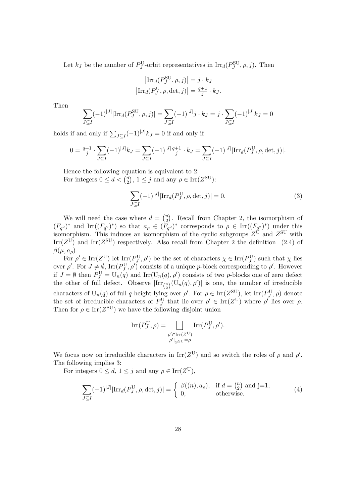Let  $k_J$  be the number of  $P_J^{\text{U}}$ -orbit representatives in  $\text{Irr}_d(P_J^{\text{SU}}, \rho, j)$ . Then

$$
\left| \text{Irr}_{d}(P_{J}^{\text{SU}}, \rho, j) \right| = j \cdot k_{J}
$$
  

$$
\left| \text{Irr}_{d}(P_{J}^{\text{U}}, \rho, \det, j) \right| = \frac{q+1}{j} \cdot k_{J}.
$$

Then

$$
\sum_{J \subseteq I} (-1)^{|J|} |\text{Irr}_d(P_J^{\text{SU}}, \rho, j)| = \sum_{J \subseteq I} (-1)^{|J|} j \cdot k_J = j \cdot \sum_{J \subseteq I} (-1)^{|J|} k_J = 0
$$

holds if and only if  $\sum_{J \subseteq I} (-1)^{|J|} k_J = 0$  if and only if

$$
0 = \frac{q+1}{j} \cdot \sum_{J \subseteq I} (-1)^{|J|} k_J = \sum_{J \subseteq I} (-1)^{|J|} \frac{q+1}{j} \cdot k_J = \sum_{J \subseteq I} (-1)^{|J|} |\text{Irr}_d(P_J^U, \rho, \det, j)|.
$$

Hence the following equation is equivalent to 2: For integers  $0 \leq d < \binom{n}{2}$  $\binom{n}{2}$ ,  $1 \leq j$  and any  $\rho \in \text{Irr}(Z^{\text{SU}})$ :

$$
\sum_{J \subseteq I} (-1)^{|J|} |\text{Irr}_d(P_J^{\text{U}}, \rho, \det, j)| = 0.
$$
 (3)

We will need the case where  $d = \binom{n}{2}$  $n_2$ ). Recall from Chapter 2, the isomorphism of  $(F_{q^2})^*$  and Irr $((F_{q^2})^*)$  so that  $a_{\rho} \in (F_{q^2})^*$  corresponds to  $\rho \in \text{Irr}((F_{q^2})^*)$  under this isomorphism. This induces an isomorphism of the cyclic subgroups  $Z^{\mathbf{U}}$  and  $Z^{\mathbf{SU}}$  with Irr( $Z^{\text{U}}$ ) and Irr( $Z^{\text{SU}}$ ) respectively. Also recall from Chapter 2 the definition (2.4) of  $\beta(\mu, a_{\rho}).$ 

For  $\rho' \in \text{Irr}(Z^U)$  let  $\text{Irr}(P_J^U, \rho')$  be the set of characters  $\chi \in \text{Irr}(P_J^U)$  such that  $\chi$  lies over  $\rho'$ . For  $J \neq \emptyset$ , Irr $(P_J^{\rm U}, \rho')$  consists of a unique p-block corresponding to  $\rho'$ . However if  $J = \emptyset$  then  $P_J^{\text{U}} = \text{U}_n(q)$  and  $\text{Irr}(\text{U}_n(q), \rho')$  consists of two p-blocks one of zero defect the other of full defect. Observe  $\left|\text{Irr}_{\binom{n}{2}}(U_n(q),\rho')\right|$  is one, the number of irreducible characters of U<sub>n</sub>(q) of full q-height lying over  $\rho'$ . For  $\rho \in \text{Irr}(Z^{\text{SU}})$ , let  $\text{Irr}(P_J^{\text{U}}, \rho)$  denote the set of irreducible characters of  $P_J^{\text{U}}$  that lie over  $\rho' \in \text{Irr}(Z^{\text{U}})$  where  $\rho'$  lies over  $\rho$ . Then for  $\rho \in \text{Irr}(Z^{\text{SU}})$  we have the following disjoint union

$$
\mathrm{Irr}(P^{\mathrm{U}}_J,\rho)=\bigsqcup_{\substack{\rho'\in\mathrm{Irr}(Z^{\mathrm{U}})\\ \rho'|_Z\le\mathbf{U}=\rho}}\mathrm{Irr}(P^{\mathrm{U}}_J,\rho').
$$

We focus now on irreducible characters in  $\text{Irr}(Z^U)$  and so switch the roles of  $\rho$  and  $\rho'$ . The following implies 3:

For integers  $0 \leq d, 1 \leq j$  and any  $\rho \in \text{Irr}(Z^U)$ ,

$$
\sum_{J\subseteq I} (-1)^{|J|} |\text{Irr}_d(P_J^U, \rho, \det, j)| = \begin{cases} \beta((n), a_\rho), & \text{if } d = \binom{n}{2} \text{ and } j=1; \\ 0, & \text{otherwise.} \end{cases}
$$
(4)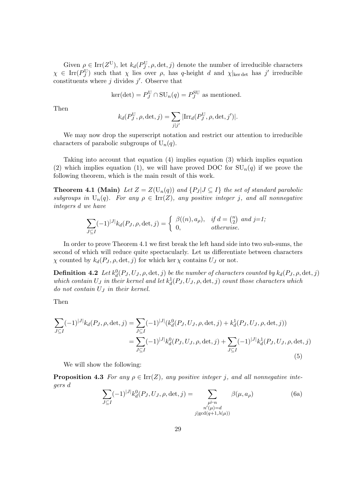Given  $\rho \in \text{Irr}(Z^U)$ , let  $k_d(P_J^U, \rho, \det, j)$  denote the number of irreducible characters  $\chi \in \text{Irr}(P_J^{\text{U}})$  such that  $\chi$  lies over  $\rho$ , has q-height d and  $\chi$ <sub>kerdet</sub> has j' irreducible constituents where  $j$  divides  $j'$ . Observe that

$$
ker(det) = P_J^{\mathrm{U}} \cap \mathrm{SU}_n(q) = P_J^{\mathrm{SU}}
$$
 as mentioned.

Then

$$
k_d(P_J^{\rm U}, \rho, \det, j) = \sum_{j|j'} |{\rm Irr}_d(P_J^{\rm U}, \rho, \det, j')|.
$$

We may now drop the superscript notation and restrict our attention to irreducible characters of parabolic subgroups of  $U_n(q)$ .

Taking into account that equation (4) implies equation (3) which implies equation (2) which implies equation (1), we will have proved DOC for  $SU_n(q)$  if we prove the following theorem, which is the main result of this work.

**Theorem 4.1 (Main)** Let  $Z = Z(U_n(q))$  and  $\{P_J | J \subseteq I\}$  the set of standard parabolic subgroups in  $U_n(q)$ . For any  $\rho \in \text{Irr}(Z)$ , any positive integer j, and all nonnegative integers d we have

$$
\sum_{J \subseteq I} (-1)^{|J|} k_d(P_J, \rho, \det, j) = \begin{cases} \beta((n), a_\rho), & \text{if } d = \binom{n}{2} \text{ and } j = 1; \\ 0, & \text{otherwise.} \end{cases}
$$

In order to prove Theorem 4.1 we first break the left hand side into two sub-sums, the second of which will reduce quite spectacularly. Let us differentiate between characters  $χ$  counted by  $k_d(P_J, ρ, det, j)$  for which ker  $χ$  contains  $U_J$  or not.

**Definition 4.2** Let  $k_d^0(P_J, U_J, \rho, \det, j)$  be the number of characters counted by  $k_d(P_J, \rho, \det, j)$ which contain  $U_J$  in their kernel and let  $k_d^1(P_J, U_J, \rho, \det, j)$  count those characters which do not contain  $U_J$  in their kernel.

Then

$$
\sum_{J \subseteq I} (-1)^{|J|} k_d(P_J, \rho, \det, j) = \sum_{J \subseteq I} (-1)^{|J|} (k_d^0(P_J, U_J, \rho, \det, j) + k_d^1(P_J, U_J, \rho, \det, j))
$$
  
= 
$$
\sum_{J \subseteq I} (-1)^{|J|} k_d^0(P_J, U_J, \rho, \det, j) + \sum_{J \subseteq I} (-1)^{|J|} k_d^1(P_J, U_J, \rho, \det, j)
$$
(5)

We will show the following:

**Proposition 4.3** For any  $\rho \in \text{Irr}(Z)$ , any positive integer j, and all nonnegative integers d

$$
\sum_{J \subseteq I} (-1)^{|J|} k_d^0(P_J, U_J, \rho, \det, j) = \sum_{\substack{\mu \vdash n \\ n'(\mu) = d \\ j \mid \gcd(q+1, \lambda(\mu))}} \beta(\mu, a_\rho) \tag{6a}
$$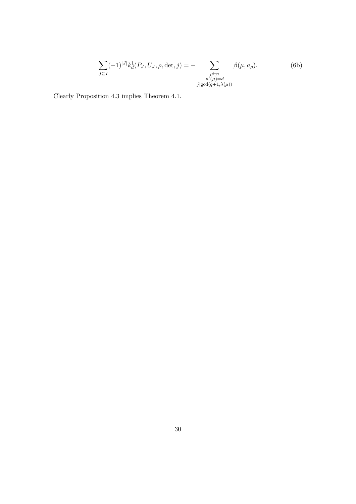$$
\sum_{J \subseteq I} (-1)^{|J|} k_d^1(P_J, U_J, \rho, \det, j) = - \sum_{\substack{\mu \vdash n \\ n'(\mu) = d \\ j \mid \gcd(q+1, \lambda(\mu))}} \beta(\mu, a_\rho). \tag{6b}
$$

Clearly Proposition 4.3 implies Theorem 4.1.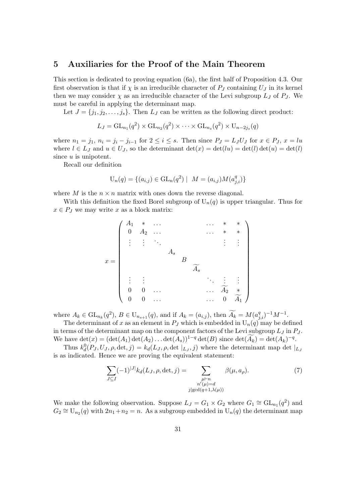## 5 Auxiliaries for the Proof of the Main Theorem

This section is dedicated to proving equation (6a), the first half of Proposition 4.3. Our first observation is that if  $\chi$  is an irreducible character of  $P_J$  containing  $U_J$  in its kernel then we may consider  $\chi$  as an irreducible character of the Levi subgroup  $L_J$  of  $P_J$ . We must be careful in applying the determinant map.

Let  $J = \{j_1, j_2, \ldots, j_s\}$ . Then  $L_J$  can be written as the following direct product:

$$
L_J = GL_{n_1}(q^2) \times GL_{n_2}(q^2) \times \cdots \times GL_{n_s}(q^2) \times U_{n-2j_s}(q)
$$

where  $n_1 = j_1$ ,  $n_i = j_i - j_{i-1}$  for  $2 \le i \le s$ . Then since  $P_J = L_J U_J$  for  $x \in P_J$ ,  $x = lu$ where  $l \in L_J$  and  $u \in U_J$ , so the determinant  $\det(x) = \det(lu) = \det(l) \det(u) = \det(l)$ since  $u$  is unipotent.

Recall our definition

$$
U_n(q) = \{(a_{i,j}) \in GL_n(q^2) \mid M = (a_{i,j})M(a_{j,i}^q)\}
$$

where M is the  $n \times n$  matrix with ones down the reverse diagonal.

With this definition the fixed Borel subgroup of  $U_n(q)$  is upper triangular. Thus for  $x \in P_J$  we may write x as a block matrix:



where  $A_k \in GL_{n_k}(q^2), B \in U_{n_{s+1}}(q)$ , and if  $A_k = (a_{i,j})$ , then  $\widetilde{A_k} = M(a_{j,i}^q)^{-1}M^{-1}$ . The determinant of x as an element in  $P_J$  which is embedded in  $U_n(q)$  may be defined

in terms of the determinant map on the component factors of the Levi subgroup  $L_j$  in  $P_j$ . We have  $\det(x) = (\det(A_1) \det(A_2) \dots \det(A_s))^{1-q} \det(B)$  since  $\det(\widetilde{A_k}) = \det(A_k)^{-q}$ .

Thus  $k_d^0(P_J, U_J, \rho, \det, j) = k_d(L_J, \rho, \det |_{L_J}, j)$  where the determinant map det  $|_{L_J}$ is as indicated. Hence we are proving the equivalent statement:

$$
\sum_{J\subseteq I} (-1)^{|J|} k_d(L_J, \rho, \det, j) = \sum_{\substack{\mu \vdash n \\ n'(\mu) = d \\ j \mid \gcd(q+1, \lambda(\mu))}} \beta(\mu, a_\rho). \tag{7}
$$

We make the following observation. Suppose  $L_J = G_1 \times G_2$  where  $G_1 \cong GL_{n_1}(q^2)$  and  $G_2 \cong U_{n_2}(q)$  with  $2n_1+n_2=n$ . As a subgroup embedded in  $U_n(q)$  the determinant map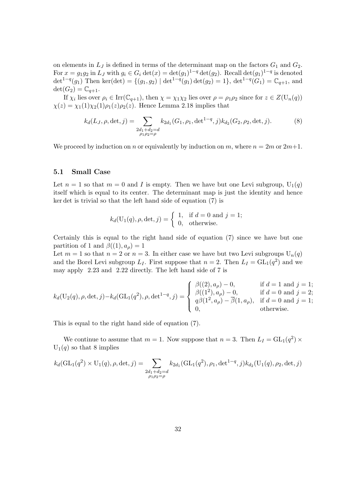on elements in  $L_j$  is defined in terms of the determinant map on the factors  $G_1$  and  $G_2$ . For  $x = g_1 g_2$  in  $L_J$  with  $g_i \in G_i \det(x) = \det(g_1)^{1-q} \det(g_2)$ . Recall  $\det(g_1)^{1-q}$  is denoted det<sup>1-q</sup>(g<sub>1</sub>) Then ker(det) = {(g<sub>1</sub>, g<sub>2</sub>) | det<sup>1-q</sup>(g<sub>1</sub>) det(g<sub>2</sub>) = 1}, det<sup>1-q</sup>(G<sub>1</sub>) =  $\mathbb{C}_{q+1}$ , and  $\det(G_2) = \mathbb{C}_{q+1}.$ 

If  $\chi_i$  lies over  $\rho_i \in \text{Irr}(\mathbb{C}_{q+1}),$  then  $\chi = \chi_1 \chi_2$  lies over  $\rho = \rho_1 \rho_2$  since for  $z \in Z(\mathbb{U}_n(q))$  $\chi(z) = \chi_1(1)\chi_2(1)\rho_1(z)\rho_2(z)$ . Hence Lemma 2.18 implies that

$$
k_d(L_J, \rho, \det, j) = \sum_{\substack{2d_1 + d_2 = d \\ \rho_1 \rho_2 = \rho}} k_{2d_1}(G_1, \rho_1, \det^{1-q}, j) k_{d_2}(G_2, \rho_2, \det, j).
$$
 (8)

We proceed by induction on n or equivalently by induction on m, where  $n = 2m$  or  $2m+1$ .

#### 5.1 Small Case

Let  $n = 1$  so that  $m = 0$  and I is empty. Then we have but one Levi subgroup,  $U_1(q)$ itself which is equal to its center. The determinant map is just the identity and hence ker det is trivial so that the left hand side of equation (7) is

$$
k_d(\mathbf{U}_1(q), \rho, \det, j) = \begin{cases} 1, & \text{if } d = 0 \text{ and } j = 1; \\ 0, & \text{otherwise.} \end{cases}
$$

Certainly this is equal to the right hand side of equation (7) since we have but one partition of 1 and  $\beta((1), a_{\rho}) = 1$ 

Let  $m = 1$  so that  $n = 2$  or  $n = 3$ . In either case we have but two Levi subgroups  $U_n(q)$ and the Borel Levi subgroup  $L_I$ . First suppose that  $n = 2$ . Then  $L_I = GL_I(q^2)$  and we may apply 2.23 and 2.22 directly. The left hand side of 7 is

$$
k_d(\mathbf{U}_2(q), \rho, \det, j) - k_d(\mathrm{GL}_1(q^2), \rho, \det^{1-q}, j) = \begin{cases} \beta((2), a_\rho) - 0, & \text{if } d = 1 \text{ and } j = 1; \\ \beta((1^2), a_\rho) - 0, & \text{if } d = 0 \text{ and } j = 2; \\ q\beta(1^2, a_\rho) - \overline{\beta}(1, a_\rho), & \text{if } d = 0 \text{ and } j = 1; \\ 0, & \text{otherwise.} \end{cases}
$$

This is equal to the right hand side of equation (7).

We continue to assume that  $m = 1$ . Now suppose that  $n = 3$ . Then  $L_I = GL_1(q^2) \times$  $U_1(q)$  so that 8 implies

$$
k_d(\text{GL}_1(q^2) \times U_1(q), \rho, \det, j) = \sum_{\substack{2d_1 + d_2 = d \\ \rho_1 \rho_2 = \rho}} k_{2d_1}(\text{GL}_1(q^2), \rho_1, \det^{1-q}, j) k_{d_2}(\text{U}_1(q), \rho_2, \det, j)
$$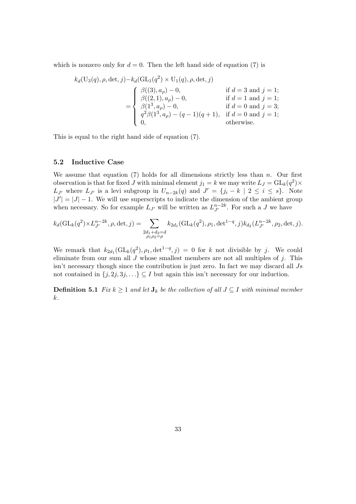which is nonzero only for  $d = 0$ . Then the left hand side of equation (7) is

$$
k_d(\text{U}_3(q), \rho, \det, j) - k_d(\text{GL}_1(q^2) \times \text{U}_1(q), \rho, \det, j)
$$
  
\n
$$
= \begin{cases} \beta((3), a_{\rho}) - 0, & \text{if } d = 3 \text{ and } j = 1; \\ \beta((2, 1), a_{\rho}) - 0, & \text{if } d = 1 \text{ and } j = 1; \\ \beta(1^3, a_{\rho}) - 0, & \text{if } d = 0 \text{ and } j = 3; \\ q^2 \beta(1^3, a_{\rho}) - (q - 1)(q + 1), & \text{if } d = 0 \text{ and } j = 1; \\ 0, & \text{otherwise.} \end{cases}
$$

This is equal to the right hand side of equation (7).

#### 5.2 Inductive Case

We assume that equation (7) holds for all dimensions strictly less than  $n$ . Our first observation is that for fixed J with minimal element  $j_1 = k$  we may write  $L_J = GL_k(q^2) \times$  $L_{J'}$  where  $L_{J'}$  is a levi subgroup in  $U_{n-2k}(q)$  and  $J' = \{j_i - k \mid 2 \leq i \leq s\}$ . Note  $|J'| = |J| - 1$ . We will use superscripts to indicate the dimension of the ambient group when necessary. So for example  $L_{J'}$  will be written as  $L_{J'}^{n-2k}$ . For such a J we have

$$
k_d(\mathrm{GL}_k(q^2)\times L_{J'}^{n-2k}, \rho, \det, j) = \sum_{\substack{2d_1+d_2=d\\ \rho_1\rho_2=\rho}} k_{2d_1}(\mathrm{GL}_k(q^2), \rho_1, \det^{1-q}, j) k_{d_2}(L_{J'}^{n-2k}, \rho_2, \det, j).
$$

We remark that  $k_{2d_1}(\text{GL}_k(q^2), \rho_1, \det^{1-q}, j) = 0$  for k not divisible by j. We could eliminate from our sum all  $J$  whose smallest members are not all multiples of  $j$ . This isn't necessary though since the contribution is just zero. In fact we may discard all Js not contained in  $\{j, 2j, 3j, \ldots\} \subseteq I$  but again this isn't necessary for our induction.

**Definition 5.1** Fix  $k \geq 1$  and let  $J_k$  be the collection of all  $J \subseteq I$  with minimal member k.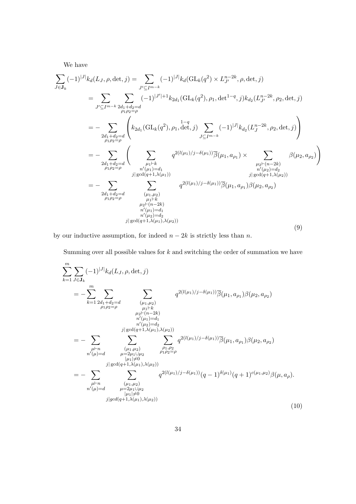We have

$$
\sum_{J \in \mathbf{J}_k} (-1)^{|J|} k_d(L_J, \rho, \det, j) = \sum_{J' \subseteq I^{m-k}} (-1)^{|J|} k_d(\mathrm{GL}_k(q^2) \times L_{J'}^{n-2k}, \rho, \det, j)
$$
\n
$$
= \sum_{J' \subseteq I^{m-k}} \sum_{\substack{2d_1 + d_2 = d \\ \rho_1 \rho_2 = \rho}} (-1)^{|J'|+1} k_{2d_1}(\mathrm{GL}_k(q^2), \rho_1, \det^{1-q}, j) k_{d_2}(L_{J'}^{n-2k}, \rho_2, \det, j)
$$
\n
$$
= - \sum_{\substack{2d_1 + d_2 = d \\ \rho_1 \rho_2 = \rho}} \left( k_{2d_1}(\mathrm{GL}_k(q^2), \rho_1, \det, j) \sum_{J \subseteq I^{m-k}} (-1)^{|J|} k_{d_2}(L_{J}^{n-2k}, \rho_2, \det, j) \right)
$$
\n
$$
= - \sum_{\substack{2d_1 + d_2 = d \\ \rho_1 \rho_2 = \rho}} \left( \sum_{\substack{\mu_1 \vdash k \\ \mu_1 \vdash d_1 \\ \vdots \\ \mu_1 \vdash \rho_1 \\ \vdots \\ \mu_1 \vdash \rho_1 \\ \vdots \\ \mu_1 \vdash \rho_1 \\ \vdots \\ \mu_1 \vdash \rho_1 \\ \vdots \\ \mu_1 \vdash \rho_1 \\ \vdots \\ \mu_1 \vdash \rho_1 \\ \vdots \\ \mu_1 \vdash \rho_1 \\ \vdots \\ \mu_1 \vdash \rho_1 \\ \vdots \\ \mu_1 \vdash \rho_1 \\ \vdots \\ \mu_1 \vdash \rho_1 \\ \vdots \\ \mu_1 \vdash \rho_1 \\ \vdots \\ \mu_1 \vdash \rho_1 \\ \vdots \\ \mu_1 \vdash \rho_1 \\ \vdots \vdots \\ \mu_1 \vdash \rho_1 \\ \vdots \\ \mu_1 \vdash \rho_1 \\ \vdots \\ \mu_1 \vdash \rho_1 \\ \vdots \\ \mu_1 \vdash \rho_1 \\ \vdots \end{mu_1} \right) = q^{2(l(\mu_1)/j - \delta(\mu_1))} \overline{\beta}(\mu_1, a_{\rho_1}) \beta(\mu_2, a_{\rho_2})
$$
\n
$$
(9)
$$

by our inductive assumption, for indeed  $n - 2k$  is strictly less than n.

Summing over all possible values for  $k$  and switching the order of summation we have

$$
\sum_{k=1}^{m} \sum_{J \in \mathbf{J}_k} (-1)^{|J|} k_d(L_J, \rho, \det, j) \n= - \sum_{k=1}^{m} \sum_{\substack{2d_1 + d_2 = d \\ \rho_1 \rho_2 = \rho}} \sum_{\substack{(\mu_1, \mu_2) \\ \mu_2 \vdash (n-2k) \\ \mu_2 \vdash (n-2k) \\ n'(\mu_1) = d_1 \\ n'(\mu_2) = d_2 \\ n'(\mu_2) = d_2}} q^{2(l(\mu_1)/j - \delta(\mu_1))} \overline{\beta}(\mu_1, a_{\rho_1}) \beta(\mu_2, a_{\rho_2}) \n= - \sum_{\substack{\mu \vdash n \\ \mu_1 \vdash \mu_2 \\ \mu_2 \vdash (1 \mu_2) \\ \mu_1 \vdash \rho_2 \\ \mu_2 \vdash (1 \mu_2) \\ \mu_1 \vdash \rho_2 \\ \mu_2 \vdash (1 \mu_1) \land (\mu_2) \\ \vdots \\ \mu_1 \vdash \rho_2}} q^{2(l(\mu_1)/j - \delta(\mu_1))} \overline{\beta}(\mu_1, a_{\rho_1}) \beta(\mu_2, a_{\rho_2}) \n= - \sum_{\substack{\mu \vdash n \\ \mu_1 \vdash \mu_2 \\ \mu_2 \vdash (\mu_1, \mu_2) \\ \mu_2 \vdash (\mu_1, \mu_2) \\ \mu_1 \vdash \rho_2 \\ \mu_2 \vdash (\mu_1, \mu_2) \\ \vdots \\ \mu_1 \vdash \rho_2}} q^{2(l(\mu_1)/j - \delta(\mu_1))} (q - 1)^{\delta(\mu_1)} (q + 1)^{c(\mu_1, \mu_2)} \beta(\mu, a_{\rho}).
$$
\n(10)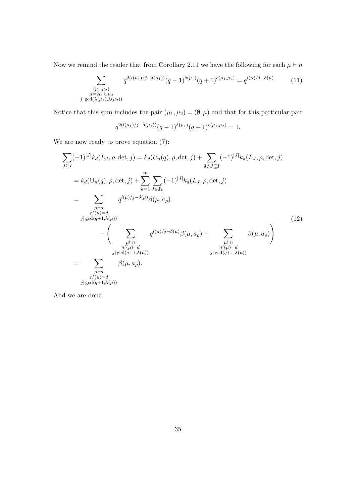Now we remind the reader that from Corollary 2.11 we have the following for each  $\mu \vdash n$ 

$$
\sum_{\substack{(\mu_1,\mu_2)\\ \mu=2\mu_1\cup\mu_2\\ \gcd(\lambda(\mu_1),\lambda(\mu_2))}} q^{2(l(\mu_1)/j-\delta(\mu_1))}(q-1)^{\delta(\mu_1)}(q+1)^{c(\mu_1,\mu_2)} = q^{l(\mu)/j-\delta(\mu)}.
$$
 (11)

Notice that this sum includes the pair  $(\mu_1, \mu_2) = (\emptyset, \mu)$  and that for this particular pair

$$
q^{2(l(\mu_1)/j-\delta(\mu_1))}(q-1)^{\delta(\mu_1)}(q+1)^{c(\mu_1,\mu_2)}=1.
$$

We are now ready to prove equation (7):

 $|j|$ 

$$
\sum_{J\subseteq I} (-1)^{|J|} k_d(L_J, \rho, \det, j) = k_d(U_n(q), \rho, \det, j) + \sum_{\emptyset \neq J\subseteq I} (-1)^{|J|} k_d(L_J, \rho, \det, j)
$$
\n
$$
= k_d(U_n(q), \rho, \det, j) + \sum_{k=1}^m \sum_{J\in J_k} (-1)^{|J|} k_d(L_J, \rho, \det, j)
$$
\n
$$
= \sum_{\substack{\mu \vdash n \\ n'(\mu) = d \\ n'(\mu) = d}} q^{l(\mu)/j - \delta(\mu)} \beta(\mu, a_\rho)
$$
\n
$$
= \left( \sum_{\substack{\mu \vdash n \\ n'(\mu) = d \\ n'(\mu) = d \\ j | \gcd(q+1, \lambda(\mu))}} q^{l(\mu)/j - \delta(\mu)} \beta(\mu, a_\rho) - \sum_{\substack{\mu \vdash n \\ n'(\mu) = d \\ j | \gcd(q+1, \lambda(\mu))}} \beta(\mu, a_\rho) \right)
$$
\n
$$
(12)
$$
\n
$$
= \sum_{\substack{\mu \vdash n \\ n'(\mu) = d \\ n'(\mu) = d \\ j | \gcd(q+1, \lambda(\mu))}} \beta(\mu, a_\rho).
$$

And we are done.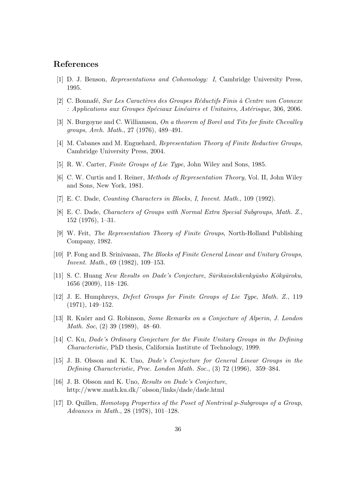## References

- [1] D. J. Benson, Representations and Cohomology: I, Cambridge University Press, 1995.
- [2] C. Bonnafé, Sur Les Caractères des Groupes Réductifs Finis à Centre non Connexe  $:$  Applications aux Groupes Spéciaux Linéaires et Unitaires, Astérisque, 306, 2006.
- [3] N. Burgoyne and C. Williamson, On a theorem of Borel and Tits for finite Chevalley groups, Arch. Math., 27 (1976), 489–491.
- [4] M. Cabanes and M. Enguehard, Representation Theory of Finite Reductive Groups, Cambridge University Press, 2004.
- [5] R. W. Carter, Finite Groups of Lie Type, John Wiley and Sons, 1985.
- [6] C. W. Curtis and I. Reiner, Methods of Representation Theory, Vol. II, John Wiley and Sons, New York, 1981.
- [7] E. C. Dade, Counting Characters in Blocks, I, Invent. Math., 109 (1992).
- [8] E. C. Dade, Characters of Groups with Normal Extra Special Subgroups, Math. Z., 152 (1976), 1–31.
- [9] W. Feit, The Representation Theory of Finite Groups, North-Holland Publishing Company, 1982.
- [10] P. Fong and B. Srinivasan, The Blocks of Finite General Linear and Unitary Groups, Invent. Math., 69 (1982), 109–153.
- [11] S. C. Huang New Results on Dade's Conjecture, Sūrikaisekikenkyūsho Kōkyūroku, 1656 (2009), 118–126.
- [12] J. E. Humphreys, Defect Groups for Finite Groups of Lie Type, Math. Z., 119 (1971), 149–152.
- [13] R. Knörr and G. Robinson, Some Remarks on a Conjecture of Alperin, J. London Math. Soc, (2) 39 (1989), 48–60.
- [14] C. Ku, Dade's Ordinary Conjecture for the Finite Unitary Groups in the Defining Characteristic, PhD thesis, California Institute of Technology, 1999.
- [15] J. B. Olsson and K. Uno, Dade's Conjecture for General Linear Groups in the Defining Characteristic, Proc. London Math. Soc., (3) 72 (1996), 359–384.
- [16] J. B. Olsson and K. Uno, *Results on Dade's Conjecture*, http://www.math.ku.dk/˜olsson/links/dade/dade.html
- [17] D. Quillen, Homotopy Properties of the Poset of Nontrival p-Subgroups of a Group, Advances in Math., 28 (1978), 101–128.